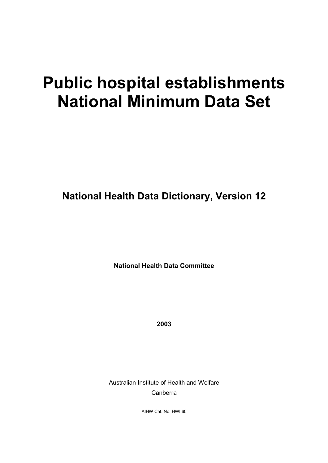# **Public hospital establishments National Minimum Data Set**

**National Health Data Dictionary, Version 12**

**National Health Data Committee**

**2003**

Australian Institute of Health and Welfare Canberra

AIHW Cat. No. HWI 60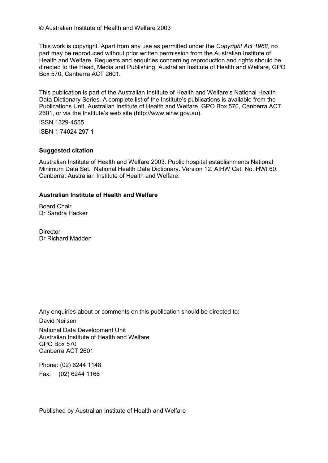© Australian Institute of Health and Welfare 2003

This work is copyright. Apart from any use as permitted under the *Copyright Act 1968*, no part may be reproduced without prior written permission from the Australian Institute of Health and Welfare. Requests and enquiries concerning reproduction and rights should be directed to the Head, Media and Publishing, Australian Institute of Health and Welfare, GPO Box 570, Canberra ACT 2601.

This publication is part of the Australian Institute of Health and Welfare's National Health Data Dictionary Series. A complete list of the Institute's publications is available from the Publications Unit, Australian Institute of Health and Welfare, GPO Box 570, Canberra ACT 2601, or via the Institute's web site (http://www.aihw.gov.au).

ISSN 1329-4555

ISBN 1 74024 297 1

#### **Suggested citation**

Australian Institute of Health and Welfare 2003. Public hospital establishments National Minimum Data Set. National Health Data Dictionary. Version 12. AIHW Cat. No. HWI 60. Canberra: Australian Institute of Health and Welfare.

#### **Australian Institute of Health and Welfare**

Board Chair Dr Sandra Hacker

**Director** Dr Richard Madden

Any enquiries about or comments on this publication should be directed to: David Neilsen National Data Development Unit Australian Institute of Health and Welfare GPO Box 570 Canberra ACT 2601

Phone: (02) 6244 1148 Fax: (02) 6244 1166

Published by Australian Institute of Health and Welfare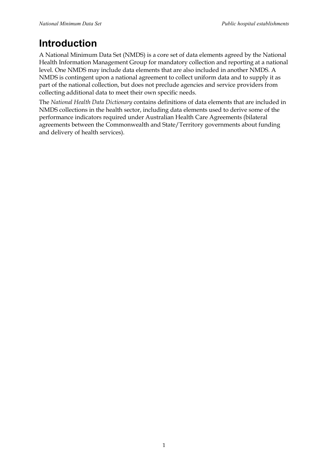# **Introduction**

A National Minimum Data Set (NMDS) is a core set of data elements agreed by the National Health Information Management Group for mandatory collection and reporting at a national level. One NMDS may include data elements that are also included in another NMDS. A NMDS is contingent upon a national agreement to collect uniform data and to supply it as part of the national collection, but does not preclude agencies and service providers from collecting additional data to meet their own specific needs.

The *National Health Data Dictionary* contains definitions of data elements that are included in NMDS collections in the health sector, including data elements used to derive some of the performance indicators required under Australian Health Care Agreements (bilateral agreements between the Commonwealth and State/Territory governments about funding and delivery of health services).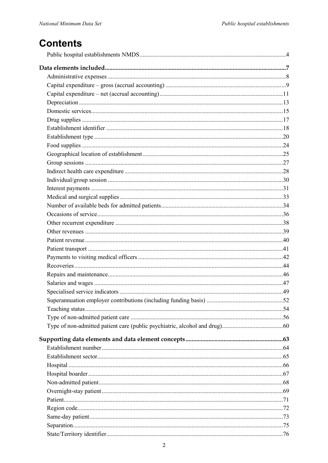# **Contents**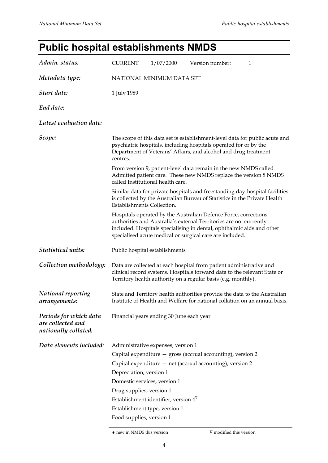# **Public hospital establishments NMDS**

| Admin. status:                                                      | <b>CURRENT</b><br>1/07/2000<br>Version number:<br>$\mathbf{1}$                                                                                                                                                                                                                                                                                                       |  |  |  |
|---------------------------------------------------------------------|----------------------------------------------------------------------------------------------------------------------------------------------------------------------------------------------------------------------------------------------------------------------------------------------------------------------------------------------------------------------|--|--|--|
| Metadata type:                                                      | NATIONAL MINIMUM DATA SET                                                                                                                                                                                                                                                                                                                                            |  |  |  |
| Start date:                                                         | 1 July 1989                                                                                                                                                                                                                                                                                                                                                          |  |  |  |
| End date:                                                           |                                                                                                                                                                                                                                                                                                                                                                      |  |  |  |
| Latest evaluation date:                                             |                                                                                                                                                                                                                                                                                                                                                                      |  |  |  |
| Scope:                                                              | The scope of this data set is establishment-level data for public acute and<br>psychiatric hospitals, including hospitals operated for or by the<br>Department of Veterans' Affairs, and alcohol and drug treatment<br>centres.                                                                                                                                      |  |  |  |
|                                                                     | From version 9, patient-level data remain in the new NMDS called<br>Admitted patient care. These new NMDS replace the version 8 NMDS<br>called Institutional health care.                                                                                                                                                                                            |  |  |  |
|                                                                     | Similar data for private hospitals and freestanding day-hospital facilities<br>is collected by the Australian Bureau of Statistics in the Private Health<br><b>Establishments Collection.</b>                                                                                                                                                                        |  |  |  |
|                                                                     | Hospitals operated by the Australian Defence Force, corrections<br>authorities and Australia's external Territories are not currently<br>included. Hospitals specialising in dental, ophthalmic aids and other<br>specialised acute medical or surgical care are included.                                                                                           |  |  |  |
| <b>Statistical units:</b>                                           | Public hospital establishments                                                                                                                                                                                                                                                                                                                                       |  |  |  |
| Collection methodology:                                             | Data are collected at each hospital from patient administrative and<br>clinical record systems. Hospitals forward data to the relevant State or<br>Territory health authority on a regular basis (e.g. monthly).                                                                                                                                                     |  |  |  |
| <b>National reporting</b><br>arrangements:                          | State and Territory health authorities provide the data to the Australian<br>Institute of Health and Welfare for national collation on an annual basis.                                                                                                                                                                                                              |  |  |  |
| Periods for which data<br>are collected and<br>nationally collated: | Financial years ending 30 June each year                                                                                                                                                                                                                                                                                                                             |  |  |  |
| Data elements included:                                             | Administrative expenses, version 1<br>Capital expenditure - gross (accrual accounting), version 2<br>Capital expenditure - net (accrual accounting), version 2<br>Depreciation, version 1<br>Domestic services, version 1<br>Drug supplies, version 1<br>Establishment identifier, version $4^{\nabla}$<br>Establishment type, version 1<br>Food supplies, version 1 |  |  |  |

♦ new in NMDS this version ∇ modified this version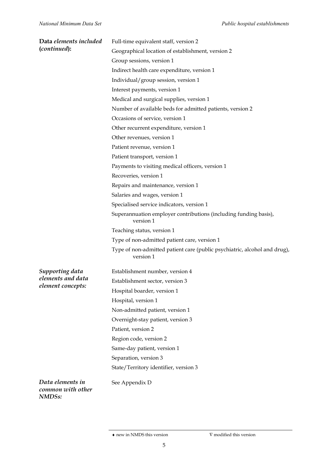| Data elements included                 | Full-time equivalent staff, version 2                                                  |  |  |
|----------------------------------------|----------------------------------------------------------------------------------------|--|--|
| (continued):                           | Geographical location of establishment, version 2                                      |  |  |
|                                        | Group sessions, version 1                                                              |  |  |
|                                        | Indirect health care expenditure, version 1                                            |  |  |
|                                        | Individual/group session, version 1                                                    |  |  |
|                                        | Interest payments, version 1                                                           |  |  |
|                                        | Medical and surgical supplies, version 1                                               |  |  |
|                                        | Number of available beds for admitted patients, version 2                              |  |  |
|                                        | Occasions of service, version 1                                                        |  |  |
|                                        | Other recurrent expenditure, version 1                                                 |  |  |
|                                        | Other revenues, version 1                                                              |  |  |
|                                        | Patient revenue, version 1                                                             |  |  |
|                                        | Patient transport, version 1                                                           |  |  |
|                                        | Payments to visiting medical officers, version 1                                       |  |  |
|                                        | Recoveries, version 1                                                                  |  |  |
|                                        | Repairs and maintenance, version 1                                                     |  |  |
|                                        | Salaries and wages, version 1                                                          |  |  |
|                                        | Specialised service indicators, version 1                                              |  |  |
|                                        | Superannuation employer contributions (including funding basis),<br>version 1          |  |  |
|                                        | Teaching status, version 1                                                             |  |  |
|                                        | Type of non-admitted patient care, version 1                                           |  |  |
|                                        | Type of non-admitted patient care (public psychiatric, alcohol and drug),<br>version 1 |  |  |
| Supporting data                        | Establishment number, version 4                                                        |  |  |
| elements and data<br>element concepts: | Establishment sector, version 3                                                        |  |  |
|                                        | Hospital boarder, version 1                                                            |  |  |
|                                        | Hospital, version 1                                                                    |  |  |
|                                        | Non-admitted patient, version 1                                                        |  |  |
|                                        | Overnight-stay patient, version 3                                                      |  |  |
|                                        | Patient, version 2                                                                     |  |  |
|                                        | Region code, version 2                                                                 |  |  |
|                                        | Same-day patient, version 1                                                            |  |  |
|                                        | Separation, version 3                                                                  |  |  |
|                                        | State/Territory identifier, version 3                                                  |  |  |
| Data elements in<br>common with other  | See Appendix D                                                                         |  |  |

*NMDSs:*

 $\blacklozenge$ new in NMDS this version  $\blacktriangledown$  modified this version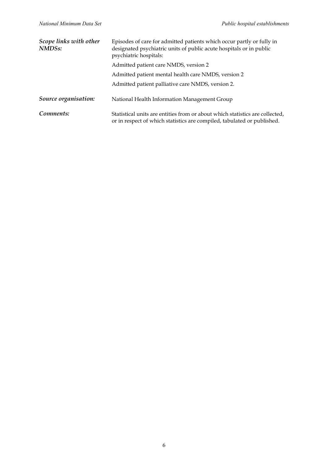| Scope links with other<br>NMDS <sub>s</sub> : | Episodes of care for admitted patients which occur partly or fully in<br>designated psychiatric units of public acute hospitals or in public<br>psychiatric hospitals: |  |
|-----------------------------------------------|------------------------------------------------------------------------------------------------------------------------------------------------------------------------|--|
|                                               | Admitted patient care NMDS, version 2                                                                                                                                  |  |
|                                               | Admitted patient mental health care NMDS, version 2                                                                                                                    |  |
|                                               | Admitted patient palliative care NMDS, version 2.                                                                                                                      |  |
| Source organisation:                          | National Health Information Management Group                                                                                                                           |  |
| Comments:                                     | Statistical units are entities from or about which statistics are collected,<br>or in respect of which statistics are compiled, tabulated or published.                |  |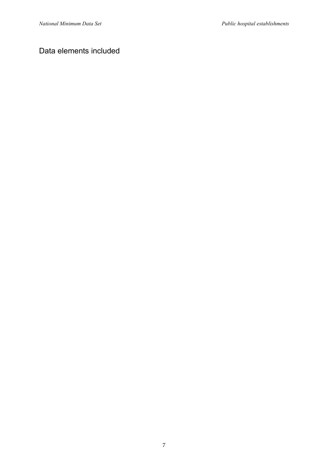### Data elements included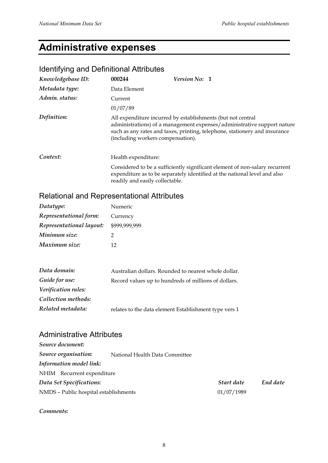# **Administrative expenses**

## Identifying and Definitional Attributes

| Knowledgebase ID: | 000244                                                                                           | <b>Version No: 1</b> |                                                                                                                                                          |
|-------------------|--------------------------------------------------------------------------------------------------|----------------------|----------------------------------------------------------------------------------------------------------------------------------------------------------|
| Metadata type:    | Data Element                                                                                     |                      |                                                                                                                                                          |
| Admin. status:    | Current                                                                                          |                      |                                                                                                                                                          |
|                   | 01/07/89                                                                                         |                      |                                                                                                                                                          |
| Definition:       | All expenditure incurred by establishments (but not central<br>(including workers compensation). |                      | administrations) of a management expenses/administrative support nature<br>such as any rates and taxes, printing, telephone, stationery and insurance    |
| Context:          | Health expenditure:                                                                              |                      |                                                                                                                                                          |
|                   | readily and easily collectable.                                                                  |                      | Considered to be a sufficiently significant element of non-salary recurrent<br>expenditure as to be separately identified at the national level and also |

## Relational and Representational Attributes

| Datatype:                | Numeric       |
|--------------------------|---------------|
| Representational form:   | Currency      |
| Representational layout: | \$999,999,999 |
| Minimum size:            | 2             |
| Maximum size:            | 12            |

| Data domain:        | Australian dollars. Rounded to nearest whole dollar.  |
|---------------------|-------------------------------------------------------|
| Guide for use:      | Record values up to hundreds of millions of dollars.  |
| Verification rules: |                                                       |
| Collection methods: |                                                       |
| Related metadata:   | relates to the data element Establishment type vers 1 |

#### Administrative Attributes

*Source document:*

| Source organisation:                  | National Health Data Committee |            |          |
|---------------------------------------|--------------------------------|------------|----------|
| Information model link:               |                                |            |          |
| NHIM Recurrent expenditure            |                                |            |          |
| Data Set Specifications:              |                                | Start date | End date |
| NMDS - Public hospital establishments |                                | 01/07/1989 |          |

*Comments:*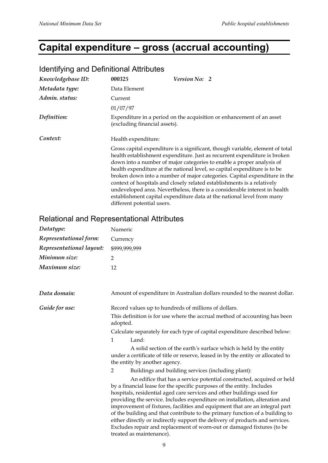# **Capital expenditure – gross (accrual accounting)**

| <u>ROUTER THIS CITY DUTING INTO THE TIME IN SECTION OF THE TIME IS A THE TIME IS A THE TIME IS A THE TIME IS A T</u> |                               |                                                                                                                                                                                                                                                                                                                                                                                                                                                                                                                                                                                                                                  |
|----------------------------------------------------------------------------------------------------------------------|-------------------------------|----------------------------------------------------------------------------------------------------------------------------------------------------------------------------------------------------------------------------------------------------------------------------------------------------------------------------------------------------------------------------------------------------------------------------------------------------------------------------------------------------------------------------------------------------------------------------------------------------------------------------------|
| Knowledgebase ID:                                                                                                    | 000325                        | <b>Version No: 2</b>                                                                                                                                                                                                                                                                                                                                                                                                                                                                                                                                                                                                             |
| Metadata type:                                                                                                       | Data Element                  |                                                                                                                                                                                                                                                                                                                                                                                                                                                                                                                                                                                                                                  |
| Admin. status:                                                                                                       | Current                       |                                                                                                                                                                                                                                                                                                                                                                                                                                                                                                                                                                                                                                  |
|                                                                                                                      | 01/07/97                      |                                                                                                                                                                                                                                                                                                                                                                                                                                                                                                                                                                                                                                  |
| Definition:                                                                                                          | (excluding financial assets). | Expenditure in a period on the acquisition or enhancement of an asset                                                                                                                                                                                                                                                                                                                                                                                                                                                                                                                                                            |
| Context:<br>Health expenditure:                                                                                      |                               |                                                                                                                                                                                                                                                                                                                                                                                                                                                                                                                                                                                                                                  |
|                                                                                                                      | different potential users.    | Gross capital expenditure is a significant, though variable, element of total<br>health establishment expenditure. Just as recurrent expenditure is broken<br>down into a number of major categories to enable a proper analysis of<br>health expenditure at the national level, so capital expenditure is to be<br>broken down into a number of major categories. Capital expenditure in the<br>context of hospitals and closely related establishments is a relatively<br>undeveloped area. Nevertheless, there is a considerable interest in health<br>establishment capital expenditure data at the national level from many |

#### Identifying and Definitional Attributes

## Relational and Representational Attributes

| Datatype:                | Numeric                                                                                                                                                                                                                                                                                                                                                                                                                                                                                                                                                                                                                                                       |  |  |
|--------------------------|---------------------------------------------------------------------------------------------------------------------------------------------------------------------------------------------------------------------------------------------------------------------------------------------------------------------------------------------------------------------------------------------------------------------------------------------------------------------------------------------------------------------------------------------------------------------------------------------------------------------------------------------------------------|--|--|
| Representational form:   | Currency                                                                                                                                                                                                                                                                                                                                                                                                                                                                                                                                                                                                                                                      |  |  |
| Representational layout: | \$999,999,999                                                                                                                                                                                                                                                                                                                                                                                                                                                                                                                                                                                                                                                 |  |  |
| Minimum size:            | 2                                                                                                                                                                                                                                                                                                                                                                                                                                                                                                                                                                                                                                                             |  |  |
| Maximum size:            | 12                                                                                                                                                                                                                                                                                                                                                                                                                                                                                                                                                                                                                                                            |  |  |
| Data domain:             | Amount of expenditure in Australian dollars rounded to the nearest dollar.                                                                                                                                                                                                                                                                                                                                                                                                                                                                                                                                                                                    |  |  |
| Guide for use:           | Record values up to hundreds of millions of dollars.                                                                                                                                                                                                                                                                                                                                                                                                                                                                                                                                                                                                          |  |  |
|                          | This definition is for use where the accrual method of accounting has been<br>adopted.                                                                                                                                                                                                                                                                                                                                                                                                                                                                                                                                                                        |  |  |
|                          | Calculate separately for each type of capital expenditure described below:                                                                                                                                                                                                                                                                                                                                                                                                                                                                                                                                                                                    |  |  |
|                          | Land:<br>1                                                                                                                                                                                                                                                                                                                                                                                                                                                                                                                                                                                                                                                    |  |  |
|                          | A solid section of the earth's surface which is held by the entity<br>under a certificate of title or reserve, leased in by the entity or allocated to<br>the entity by another agency.                                                                                                                                                                                                                                                                                                                                                                                                                                                                       |  |  |
|                          | Buildings and building services (including plant):<br>2                                                                                                                                                                                                                                                                                                                                                                                                                                                                                                                                                                                                       |  |  |
|                          | An edifice that has a service potential constructed, acquired or held<br>by a financial lease for the specific purposes of the entity. Includes<br>hospitals, residential aged care services and other buildings used for<br>providing the service. Includes expenditure on installation, alteration and<br>improvement of fixtures, facilities and equipment that are an integral part<br>of the building and that contribute to the primary function of a building to<br>either directly or indirectly support the delivery of products and services.<br>Excludes repair and replacement of worn-out or damaged fixtures (to be<br>treated as maintenance). |  |  |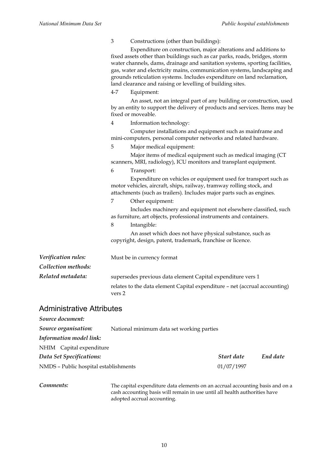|                                            | $\mathfrak{Z}$ | Constructions (other than buildings):<br>Expenditure on construction, major alterations and additions to<br>fixed assets other than buildings such as car parks, roads, bridges, storm<br>water channels, dams, drainage and sanitation systems, sporting facilities,<br>gas, water and electricity mains, communication systems, landscaping and<br>grounds reticulation systems. Includes expenditure on land reclamation,<br>land clearance and raising or levelling of building sites. |
|--------------------------------------------|----------------|--------------------------------------------------------------------------------------------------------------------------------------------------------------------------------------------------------------------------------------------------------------------------------------------------------------------------------------------------------------------------------------------------------------------------------------------------------------------------------------------|
|                                            | $4 - 7$        | Equipment:                                                                                                                                                                                                                                                                                                                                                                                                                                                                                 |
|                                            |                | An asset, not an integral part of any building or construction, used<br>by an entity to support the delivery of products and services. Items may be<br>fixed or moveable.                                                                                                                                                                                                                                                                                                                  |
|                                            | 4              | Information technology:                                                                                                                                                                                                                                                                                                                                                                                                                                                                    |
|                                            |                | Computer installations and equipment such as mainframe and<br>mini-computers, personal computer networks and related hardware.                                                                                                                                                                                                                                                                                                                                                             |
|                                            | 5              | Major medical equipment:                                                                                                                                                                                                                                                                                                                                                                                                                                                                   |
|                                            |                | Major items of medical equipment such as medical imaging (CT<br>scanners, MRI, radiology), ICU monitors and transplant equipment.                                                                                                                                                                                                                                                                                                                                                          |
|                                            | 6              | Transport:                                                                                                                                                                                                                                                                                                                                                                                                                                                                                 |
|                                            |                | Expenditure on vehicles or equipment used for transport such as<br>motor vehicles, aircraft, ships, railway, tramway rolling stock, and<br>attachments (such as trailers). Includes major parts such as engines.                                                                                                                                                                                                                                                                           |
|                                            | 7              | Other equipment:                                                                                                                                                                                                                                                                                                                                                                                                                                                                           |
|                                            |                | Includes machinery and equipment not elsewhere classified, such<br>as furniture, art objects, professional instruments and containers.                                                                                                                                                                                                                                                                                                                                                     |
|                                            | $\,8\,$        | Intangible:                                                                                                                                                                                                                                                                                                                                                                                                                                                                                |
|                                            |                | An asset which does not have physical substance, such as<br>copyright, design, patent, trademark, franchise or licence.                                                                                                                                                                                                                                                                                                                                                                    |
| Verification rules:<br>Collection methods: |                | Must be in currency format                                                                                                                                                                                                                                                                                                                                                                                                                                                                 |
| Related metadata:                          |                | supersedes previous data element Capital expenditure vers 1                                                                                                                                                                                                                                                                                                                                                                                                                                |
|                                            | vers 2         | relates to the data element Capital expenditure - net (accrual accounting)                                                                                                                                                                                                                                                                                                                                                                                                                 |
| <b>Administrative Attributes</b>           |                |                                                                                                                                                                                                                                                                                                                                                                                                                                                                                            |
| Source document:                           |                |                                                                                                                                                                                                                                                                                                                                                                                                                                                                                            |
| Source organisation:                       |                | National minimum data set working parties                                                                                                                                                                                                                                                                                                                                                                                                                                                  |
|                                            |                |                                                                                                                                                                                                                                                                                                                                                                                                                                                                                            |

*Information model link:*

| NHIM Capital expenditure              |            |          |
|---------------------------------------|------------|----------|
| Data Set Specifications:              | Start date | End date |
| NMDS - Public hospital establishments | 01/07/1997 |          |

*Comments:* The capital expenditure data elements on an accrual accounting basis and on a cash accounting basis will remain in use until all health authorities have adopted accrual accounting.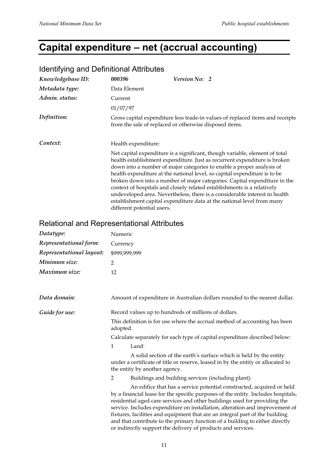# **Capital expenditure – net (accrual accounting)**

| <b>Received you be a common of a conserved</b>    |                            |                                                                                                                                                                                                                                                                                                                                                                                                                                                                                                                                                                                                                                |
|---------------------------------------------------|----------------------------|--------------------------------------------------------------------------------------------------------------------------------------------------------------------------------------------------------------------------------------------------------------------------------------------------------------------------------------------------------------------------------------------------------------------------------------------------------------------------------------------------------------------------------------------------------------------------------------------------------------------------------|
| Knowledgebase ID:                                 | 000396                     | Version No: 2                                                                                                                                                                                                                                                                                                                                                                                                                                                                                                                                                                                                                  |
| Metadata type:                                    | Data Element               |                                                                                                                                                                                                                                                                                                                                                                                                                                                                                                                                                                                                                                |
| Admin. status:                                    | Current                    |                                                                                                                                                                                                                                                                                                                                                                                                                                                                                                                                                                                                                                |
|                                                   | 01/07/97                   |                                                                                                                                                                                                                                                                                                                                                                                                                                                                                                                                                                                                                                |
| Definition:                                       |                            | Gross capital expenditure less trade-in values of replaced items and receipts<br>from the sale of replaced or otherwise disposed items.                                                                                                                                                                                                                                                                                                                                                                                                                                                                                        |
| Context:                                          | Health expenditure:        |                                                                                                                                                                                                                                                                                                                                                                                                                                                                                                                                                                                                                                |
|                                                   | different potential users. | Net capital expenditure is a significant, though variable, element of total<br>health establishment expenditure. Just as recurrent expenditure is broken<br>down into a number of major categories to enable a proper analysis of<br>health expenditure at the national level, so capital expenditure is to be<br>broken down into a number of major categories. Capital expenditure in the<br>context of hospitals and closely related establishments is a relatively<br>undeveloped area. Nevertheless, there is a considerable interest in health<br>establishment capital expenditure data at the national level from many |
| <b>Relational and Representational Attributes</b> |                            |                                                                                                                                                                                                                                                                                                                                                                                                                                                                                                                                                                                                                                |
| Datatype:                                         | Numeric                    |                                                                                                                                                                                                                                                                                                                                                                                                                                                                                                                                                                                                                                |
| Representational form:                            | Currency                   |                                                                                                                                                                                                                                                                                                                                                                                                                                                                                                                                                                                                                                |
| Representational layout:                          | \$999,999,999              |                                                                                                                                                                                                                                                                                                                                                                                                                                                                                                                                                                                                                                |
| Minimum size:                                     | $\overline{2}$             |                                                                                                                                                                                                                                                                                                                                                                                                                                                                                                                                                                                                                                |
| Maximum size:                                     | 12                         |                                                                                                                                                                                                                                                                                                                                                                                                                                                                                                                                                                                                                                |
| Data domain:                                      |                            | Amount of expenditure in Australian dollars rounded to the nearest dollar.                                                                                                                                                                                                                                                                                                                                                                                                                                                                                                                                                     |
| Guide for use:                                    |                            | Record values up to hundreds of millions of dollars.                                                                                                                                                                                                                                                                                                                                                                                                                                                                                                                                                                           |

#### Identifying and Definitional Attributes

Calculate separately for each type of capital expenditure described below: 1 Land:

This definition is for use where the accrual method of accounting has been

A solid section of the earth*'*s surface which is held by the entity under a certificate of title or reserve, leased in by the entity or allocated to the entity by another agency.

2 Buildings and building services (including plant):

An edifice that has a service potential constructed, acquired or held by a financial lease for the specific purposes of the entity. Includes hospitals, residential aged care services and other buildings used for providing the service. Includes expenditure on installation, alteration and improvement of fixtures, facilities and equipment that are an integral part of the building and that contribute to the primary function of a building to either directly or indirectly support the delivery of products and services.

adopted.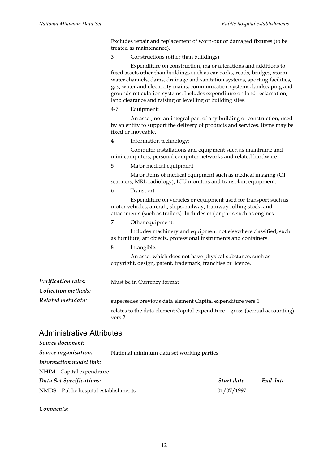Excludes repair and replacement of worn-out or damaged fixtures (to be treated as maintenance).

3 Constructions (other than buildings):

|                     | $4 - 7$        | Expenditure on construction, major alterations and additions to<br>fixed assets other than buildings such as car parks, roads, bridges, storm<br>water channels, dams, drainage and sanitation systems, sporting facilities,<br>gas, water and electricity mains, communication systems, landscaping and<br>grounds reticulation systems. Includes expenditure on land reclamation,<br>land clearance and raising or levelling of building sites.<br>Equipment:<br>An asset, not an integral part of any building or construction, used |
|---------------------|----------------|-----------------------------------------------------------------------------------------------------------------------------------------------------------------------------------------------------------------------------------------------------------------------------------------------------------------------------------------------------------------------------------------------------------------------------------------------------------------------------------------------------------------------------------------|
|                     |                | by an entity to support the delivery of products and services. Items may be<br>fixed or moveable.                                                                                                                                                                                                                                                                                                                                                                                                                                       |
|                     | $\overline{4}$ | Information technology:                                                                                                                                                                                                                                                                                                                                                                                                                                                                                                                 |
|                     |                | Computer installations and equipment such as mainframe and<br>mini-computers, personal computer networks and related hardware.                                                                                                                                                                                                                                                                                                                                                                                                          |
|                     | 5              | Major medical equipment:                                                                                                                                                                                                                                                                                                                                                                                                                                                                                                                |
|                     |                | Major items of medical equipment such as medical imaging (CT<br>scanners, MRI, radiology), ICU monitors and transplant equipment.                                                                                                                                                                                                                                                                                                                                                                                                       |
|                     | 6              | Transport:                                                                                                                                                                                                                                                                                                                                                                                                                                                                                                                              |
|                     |                | Expenditure on vehicles or equipment used for transport such as<br>motor vehicles, aircraft, ships, railway, tramway rolling stock, and<br>attachments (such as trailers). Includes major parts such as engines.                                                                                                                                                                                                                                                                                                                        |
|                     | 7              | Other equipment:                                                                                                                                                                                                                                                                                                                                                                                                                                                                                                                        |
|                     |                | Includes machinery and equipment not elsewhere classified, such<br>as furniture, art objects, professional instruments and containers.                                                                                                                                                                                                                                                                                                                                                                                                  |
|                     | 8              | Intangible:                                                                                                                                                                                                                                                                                                                                                                                                                                                                                                                             |
|                     |                | An asset which does not have physical substance, such as<br>copyright, design, patent, trademark, franchise or licence.                                                                                                                                                                                                                                                                                                                                                                                                                 |
| Verification rules: |                | Must be in Currency format                                                                                                                                                                                                                                                                                                                                                                                                                                                                                                              |
| Collection methods: |                |                                                                                                                                                                                                                                                                                                                                                                                                                                                                                                                                         |
| Related metadata:   |                | supersedes previous data element Capital expenditure vers 1                                                                                                                                                                                                                                                                                                                                                                                                                                                                             |
|                     | vers 2         | relates to the data element Capital expenditure - gross (accrual accounting)                                                                                                                                                                                                                                                                                                                                                                                                                                                            |

#### Administrative Attributes

| Source document:                      |                                           |            |          |
|---------------------------------------|-------------------------------------------|------------|----------|
| Source organisation:                  | National minimum data set working parties |            |          |
| <b>Information model link:</b>        |                                           |            |          |
| NHIM Capital expenditure              |                                           |            |          |
| Data Set Specifications:              |                                           | Start date | End date |
| NMDS - Public hospital establishments |                                           | 01/07/1997 |          |

*Comments:*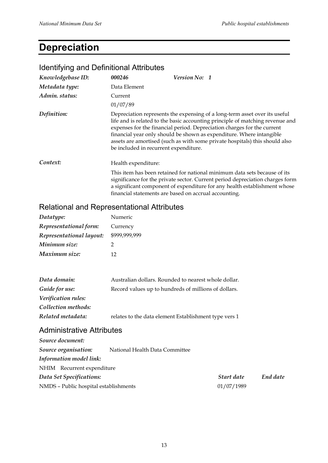# **Depreciation**

| Knowledgebase ID: | 000246                                                | <b>Version No: 1</b> |                                                                                                                                                                                                                                                                                                                                                                                               |
|-------------------|-------------------------------------------------------|----------------------|-----------------------------------------------------------------------------------------------------------------------------------------------------------------------------------------------------------------------------------------------------------------------------------------------------------------------------------------------------------------------------------------------|
| Metadata type:    | Data Element                                          |                      |                                                                                                                                                                                                                                                                                                                                                                                               |
| Admin. status:    | Current                                               |                      |                                                                                                                                                                                                                                                                                                                                                                                               |
|                   | 01/07/89                                              |                      |                                                                                                                                                                                                                                                                                                                                                                                               |
| Definition:       | be included in recurrent expenditure.                 |                      | Depreciation represents the expensing of a long-term asset over its useful<br>life and is related to the basic accounting principle of matching revenue and<br>expenses for the financial period. Depreciation charges for the current<br>financial year only should be shown as expenditure. Where intangible<br>assets are amortised (such as with some private hospitals) this should also |
| Context:          | Health expenditure:                                   |                      |                                                                                                                                                                                                                                                                                                                                                                                               |
|                   | financial statements are based on accrual accounting. |                      | This item has been retained for national minimum data sets because of its<br>significance for the private sector. Current period depreciation charges form<br>a significant component of expenditure for any health establishment whose                                                                                                                                                       |
|                   |                                                       |                      |                                                                                                                                                                                                                                                                                                                                                                                               |

#### Identifying and Definitional Attributes

#### Relational and Representational Attributes

| Datatype:                | Numeric       |
|--------------------------|---------------|
| Representational form:   | Currency      |
| Representational layout: | \$999,999,999 |
| Minimum size:            | 2             |
| Maximum size:            | 12            |
|                          |               |
|                          |               |

| Data domain:        | Australian dollars. Rounded to nearest whole dollar.  |
|---------------------|-------------------------------------------------------|
| Guide for use:      | Record values up to hundreds of millions of dollars.  |
| Verification rules: |                                                       |
| Collection methods: |                                                       |
| Related metadata:   | relates to the data element Establishment type vers 1 |
|                     |                                                       |

## Administrative Attributes

| Source document:                      |                                |            |          |
|---------------------------------------|--------------------------------|------------|----------|
| Source organisation:                  | National Health Data Committee |            |          |
| Information model link:               |                                |            |          |
| NHIM Recurrent expenditure            |                                |            |          |
| Data Set Specifications:              |                                | Start date | End date |
| NMDS - Public hospital establishments |                                | 01/07/1989 |          |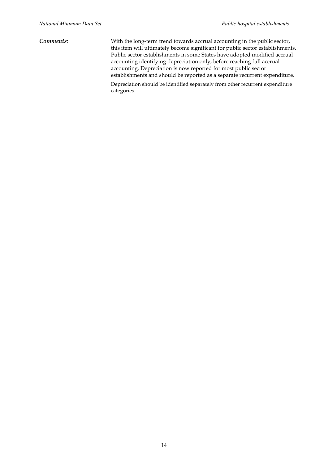*Comments:* With the long-term trend towards accrual accounting in the public sector, this item will ultimately become significant for public sector establishments. Public sector establishments in some States have adopted modified accrual accounting identifying depreciation only, before reaching full accrual accounting. Depreciation is now reported for most public sector establishments and should be reported as a separate recurrent expenditure. Depreciation should be identified separately from other recurrent expenditure categories.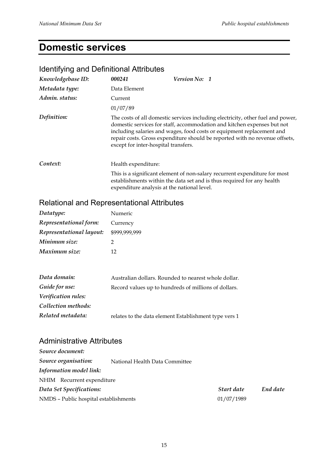# **Domestic services**

# Identifying and Definitional Attributes

| Knowledgebase ID: | 000241                                      | Version No: 1                                                                                                                                                                                                                                                                                                      |
|-------------------|---------------------------------------------|--------------------------------------------------------------------------------------------------------------------------------------------------------------------------------------------------------------------------------------------------------------------------------------------------------------------|
| Metadata type:    | Data Element                                |                                                                                                                                                                                                                                                                                                                    |
| Admin. status:    | Current                                     |                                                                                                                                                                                                                                                                                                                    |
|                   | 01/07/89                                    |                                                                                                                                                                                                                                                                                                                    |
| Definition:       | except for inter-hospital transfers.        | The costs of all domestic services including electricity, other fuel and power,<br>domestic services for staff, accommodation and kitchen expenses but not<br>including salaries and wages, food costs or equipment replacement and<br>repair costs. Gross expenditure should be reported with no revenue offsets, |
| Context:          | Health expenditure:                         |                                                                                                                                                                                                                                                                                                                    |
|                   | expenditure analysis at the national level. | This is a significant element of non-salary recurrent expenditure for most<br>establishments within the data set and is thus required for any health                                                                                                                                                               |

# Relational and Representational Attributes

| Datatype:                | Numeric       |
|--------------------------|---------------|
| Representational form:   | Currency      |
| Representational layout: | \$999,999,999 |
| Minimum size:            | 2             |
| Maximum size:            | 12            |

| Data domain:        | Australian dollars. Rounded to nearest whole dollar.  |
|---------------------|-------------------------------------------------------|
| Guide for use:      | Record values up to hundreds of millions of dollars.  |
| Verification rules: |                                                       |
| Collection methods: |                                                       |
| Related metadata:   | relates to the data element Establishment type vers 1 |

## Administrative Attributes

| National Health Data Committee        |            |          |
|---------------------------------------|------------|----------|
|                                       |            |          |
| NHIM Recurrent expenditure            |            |          |
|                                       | Start date | End date |
| NMDS - Public hospital establishments | 01/07/1989 |          |
|                                       |            |          |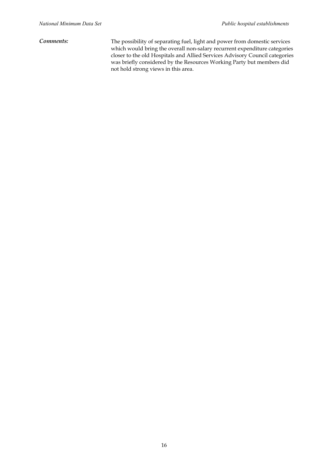*Comments:* The possibility of separating fuel, light and power from domestic services which would bring the overall non-salary recurrent expenditure categories closer to the old Hospitals and Allied Services Advisory Council categories was briefly considered by the Resources Working Party but members did not hold strong views in this area.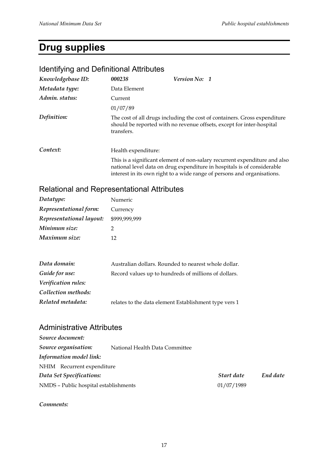# **Drug supplies**

| <b>Version No: 1</b><br>Data Element                                                                                                                                                                                             |
|----------------------------------------------------------------------------------------------------------------------------------------------------------------------------------------------------------------------------------|
|                                                                                                                                                                                                                                  |
|                                                                                                                                                                                                                                  |
|                                                                                                                                                                                                                                  |
|                                                                                                                                                                                                                                  |
| The cost of all drugs including the cost of containers. Gross expenditure<br>should be reported with no revenue offsets, except for inter-hospital                                                                               |
| Health expenditure:                                                                                                                                                                                                              |
| This is a significant element of non-salary recurrent expenditure and also<br>national level data on drug expenditure in hospitals is of considerable<br>interest in its own right to a wide range of persons and organisations. |
|                                                                                                                                                                                                                                  |

#### Identifying and Definitional Attributes

## Relational and Representational Attributes

| Datatype:                | Numeric       |
|--------------------------|---------------|
| Representational form:   | Currency      |
| Representational layout: | \$999,999,999 |
| Minimum size:            |               |
| Maximum size:            | 12            |

| Data domain:        | Australian dollars. Rounded to nearest whole dollar.  |
|---------------------|-------------------------------------------------------|
| Guide for use:      | Record values up to hundreds of millions of dollars.  |
| Verification rules: |                                                       |
| Collection methods: |                                                       |
| Related metadata:   | relates to the data element Establishment type vers 1 |

### Administrative Attributes

| Source document:                      |                                |            |          |
|---------------------------------------|--------------------------------|------------|----------|
| Source organisation:                  | National Health Data Committee |            |          |
| Information model link:               |                                |            |          |
| NHIM Recurrent expenditure            |                                |            |          |
| Data Set Specifications:              |                                | Start date | End date |
| NMDS - Public hospital establishments |                                | 01/07/1989 |          |
|                                       |                                |            |          |

*Comments:*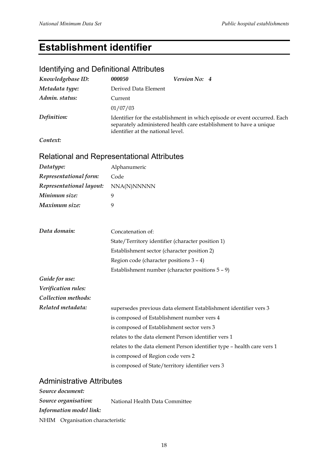# **Establishment identifier**

## Identifying and Definitional Attributes

| Knowledgebase ID: | 000050                            | Version No: 4                                                                                                                                   |
|-------------------|-----------------------------------|-------------------------------------------------------------------------------------------------------------------------------------------------|
| Metadata type:    | Derived Data Element              |                                                                                                                                                 |
| Admin. status:    | Current                           |                                                                                                                                                 |
|                   | 01/07/03                          |                                                                                                                                                 |
| Definition:       | identifier at the national level. | Identifier for the establishment in which episode or event occurred. Each<br>separately administered health care establishment to have a unique |
| Context:          |                                   |                                                                                                                                                 |

# Relational and Representational Attributes

| Datatype:                | Alphanumeric                                                            |  |  |
|--------------------------|-------------------------------------------------------------------------|--|--|
| Representational form:   | Code                                                                    |  |  |
| Representational layout: | NNA(N)NNNNN                                                             |  |  |
| Minimum size:            | 9                                                                       |  |  |
| Maximum size:            | 9                                                                       |  |  |
| Data domain:             | Concatenation of:                                                       |  |  |
|                          | State/Territory identifier (character position 1)                       |  |  |
|                          | Establishment sector (character position 2)                             |  |  |
|                          | Region code (character positions 3 - 4)                                 |  |  |
|                          | Establishment number (character positions $5 - 9$ )                     |  |  |
| Guide for use:           |                                                                         |  |  |
| Verification rules:      |                                                                         |  |  |
| Collection methods:      |                                                                         |  |  |
| Related metadata:        | supersedes previous data element Establishment identifier vers 3        |  |  |
|                          | is composed of Establishment number vers 4                              |  |  |
|                          | is composed of Establishment sector vers 3                              |  |  |
|                          | relates to the data element Person identifier vers 1                    |  |  |
|                          | relates to the data element Person identifier type - health care vers 1 |  |  |
|                          | is composed of Region code vers 2                                       |  |  |
|                          | is composed of State/territory identifier vers 3                        |  |  |

#### Administrative Attributes

| Source document:                 |                                |  |
|----------------------------------|--------------------------------|--|
| Source organisation:             | National Health Data Committee |  |
| Information model link:          |                                |  |
| NHIM Organisation characteristic |                                |  |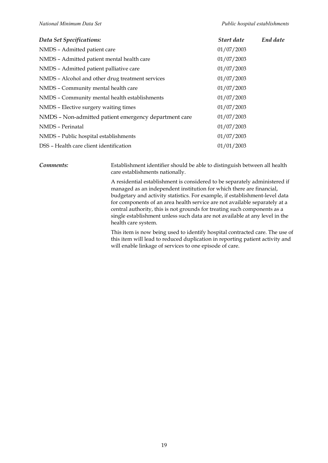| Data Set Specifications:                              | Start date | End date |
|-------------------------------------------------------|------------|----------|
| NMDS - Admitted patient care                          | 01/07/2003 |          |
| NMDS - Admitted patient mental health care            | 01/07/2003 |          |
| NMDS - Admitted patient palliative care               | 01/07/2003 |          |
| NMDS - Alcohol and other drug treatment services      | 01/07/2003 |          |
| NMDS - Community mental health care                   | 01/07/2003 |          |
| NMDS - Community mental health establishments         | 01/07/2003 |          |
| NMDS - Elective surgery waiting times                 | 01/07/2003 |          |
| NMDS - Non-admitted patient emergency department care | 01/07/2003 |          |
| NMDS - Perinatal                                      | 01/07/2003 |          |
| NMDS - Public hospital establishments                 | 01/07/2003 |          |
| DSS – Health care client identification               | 01/01/2003 |          |

*Comments:* Establishment identifier should be able to distinguish between all health care establishments nationally.

> A residential establishment is considered to be separately administered if managed as an independent institution for which there are financial, budgetary and activity statistics. For example, if establishment-level data for components of an area health service are not available separately at a central authority, this is not grounds for treating such components as a single establishment unless such data are not available at any level in the health care system.

This item is now being used to identify hospital contracted care. The use of this item will lead to reduced duplication in reporting patient activity and will enable linkage of services to one episode of care.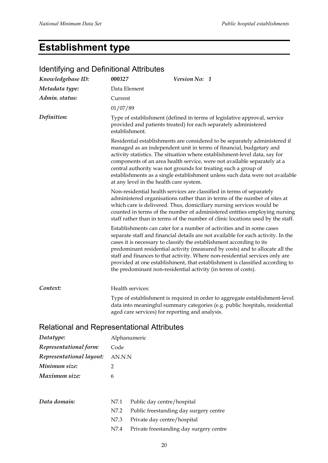# **Establishment type**

| Knowledgebase ID: | 000327                                          | Version No: 1 |                                                                                                                                                                                                                                                                                                                                                                                                                                                                                                                                                    |
|-------------------|-------------------------------------------------|---------------|----------------------------------------------------------------------------------------------------------------------------------------------------------------------------------------------------------------------------------------------------------------------------------------------------------------------------------------------------------------------------------------------------------------------------------------------------------------------------------------------------------------------------------------------------|
| Metadata type:    | Data Element                                    |               |                                                                                                                                                                                                                                                                                                                                                                                                                                                                                                                                                    |
| Admin. status:    | Current                                         |               |                                                                                                                                                                                                                                                                                                                                                                                                                                                                                                                                                    |
|                   | 01/07/89                                        |               |                                                                                                                                                                                                                                                                                                                                                                                                                                                                                                                                                    |
| Definition:       | establishment.                                  |               | Type of establishment (defined in terms of legislative approval, service<br>provided and patients treated) for each separately administered                                                                                                                                                                                                                                                                                                                                                                                                        |
|                   | at any level in the health care system.         |               | Residential establishments are considered to be separately administered if<br>managed as an independent unit in terms of financial, budgetary and<br>activity statistics. The situation where establishment-level data, say for<br>components of an area health service, were not available separately at a<br>central authority was not grounds for treating such a group of<br>establishments as a single establishment unless such data were not available                                                                                      |
|                   |                                                 |               | Non-residential health services are classified in terms of separately<br>administered organisations rather than in terms of the number of sites at<br>which care is delivered. Thus, domiciliary nursing services would be<br>counted in terms of the number of administered entities employing nursing<br>staff rather than in terms of the number of clinic locations used by the staff.                                                                                                                                                         |
|                   |                                                 |               | Establishments can cater for a number of activities and in some cases<br>separate staff and financial details are not available for each activity. In the<br>cases it is necessary to classify the establishment according to its<br>predominant residential activity (measured by costs) and to allocate all the<br>staff and finances to that activity. Where non-residential services only are<br>provided at one establishment, that establishment is classified according to<br>the predominant non-residential activity (in terms of costs). |
| Context:          | Health services:                                |               |                                                                                                                                                                                                                                                                                                                                                                                                                                                                                                                                                    |
|                   | aged care services) for reporting and analysis. |               | Type of establishment is required in order to aggregate establishment-level<br>data into meaningful summary categories (e.g. public hospitals, residential                                                                                                                                                                                                                                                                                                                                                                                         |
|                   |                                                 |               |                                                                                                                                                                                                                                                                                                                                                                                                                                                                                                                                                    |

#### Identifying and Definitional Attributes

#### Relational and Representational Attributes

| Datatype:                | Alphanumeric |
|--------------------------|--------------|
| Representational form:   | Code         |
| Representational layout: | AN.N.N       |
| Minimum size:            | 2            |
| Maximum size:            | 6            |
|                          |              |
|                          |              |

| Data domain: | N7.1 Public day centre/hospital              |
|--------------|----------------------------------------------|
|              | N7.2 Public freestanding day surgery centre  |
|              | N7.3 Private day centre/hospital             |
|              | N7.4 Private freestanding day surgery centre |
|              |                                              |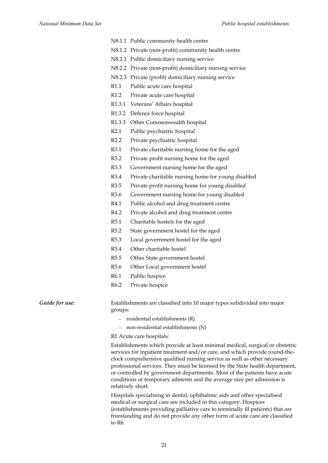- N8.1.1 Public community health centre
- N8.1.2 Private (non-profit) community health centre
- N8.2.1 Public domiciliary nursing service
- N8.2.2 Private (non-profit) domiciliary nursing service
- N8.2.3 Private (profit) domiciliary nursing service
- R1.1 Public acute care hospital
- R1.2 Private acute care hospital
- R1.3.1 Veterans' Affairs hospital
- R1.3.2 Defence force hospital
- R1.3.3 Other Commonwealth hospital
- R2.1 Public psychiatric hospital
- R2.2 Private psychiatric hospital
- R3.1 Private charitable nursing home for the aged
- R3.2 Private profit nursing home for the aged
- R3.3 Government nursing home for the aged
- R3.4 Private charitable nursing home for young disabled
- R3.5 Private profit nursing home for young disabled
- R3.6 Government nursing home for young disabled
- R4.1 Public alcohol and drug treatment centre
- R4.2 Private alcohol and drug treatment centre
- R5.1 Charitable hostels for the aged
- R5.2 State government hostel for the aged
- R5.3 Local government hostel for the aged
- R5.4 Other charitable hostel
- R5.5 Other State government hostel
- R5.6 Other Local government hostel
- R6.1 Public hospice
- R6.2 Private hospice

*Guide for use:* Establishments are classified into 10 major types subdivided into major groups:

- − residential establishments (R)
- − non-residential establishments (N)

R1 Acute care hospitals:

Establishments which provide at least minimal medical, surgical or obstetric services for inpatient treatment and/or care, and which provide round-theclock comprehensive qualified nursing service as well as other necessary professional services. They must be licensed by the State health department, or controlled by government departments. Most of the patients have acute conditions or temporary ailments and the average stay per admission is relatively short.

Hospitals specialising in dental, ophthalmic aids and other specialised medical or surgical care are included in this category. Hospices (establishments providing palliative care to terminally ill patients) that are freestanding and do not provide any other form of acute care are classified to R6.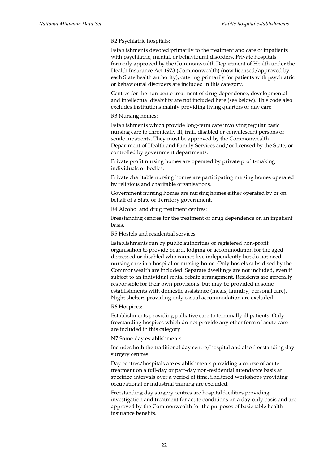R2 Psychiatric hospitals:

Establishments devoted primarily to the treatment and care of inpatients with psychiatric, mental, or behavioural disorders. Private hospitals formerly approved by the Commonwealth Department of Health under the Health Insurance Act 1973 (Commonwealth) (now licensed/approved by each State health authority), catering primarily for patients with psychiatric or behavioural disorders are included in this category.

Centres for the non-acute treatment of drug dependence, developmental and intellectual disability are not included here (see below). This code also excludes institutions mainly providing living quarters or day care.

R3 Nursing homes:

Establishments which provide long-term care involving regular basic nursing care to chronically ill, frail, disabled or convalescent persons or senile inpatients. They must be approved by the Commonwealth Department of Health and Family Services and/or licensed by the State, or controlled by government departments.

Private profit nursing homes are operated by private profit-making individuals or bodies.

Private charitable nursing homes are participating nursing homes operated by religious and charitable organisations.

Government nursing homes are nursing homes either operated by or on behalf of a State or Territory government.

R4 Alcohol and drug treatment centres:

Freestanding centres for the treatment of drug dependence on an inpatient basis.

R5 Hostels and residential services:

Establishments run by public authorities or registered non-profit organisation to provide board, lodging or accommodation for the aged, distressed or disabled who cannot live independently but do not need nursing care in a hospital or nursing home. Only hostels subsidised by the Commonwealth are included. Separate dwellings are not included, even if subject to an individual rental rebate arrangement. Residents are generally responsible for their own provisions, but may be provided in some establishments with domestic assistance (meals, laundry, personal care). Night shelters providing only casual accommodation are excluded.

R6 Hospices:

Establishments providing palliative care to terminally ill patients. Only freestanding hospices which do not provide any other form of acute care are included in this category.

N7 Same-day establishments:

Includes both the traditional day centre/hospital and also freestanding day surgery centres.

Day centres/hospitals are establishments providing a course of acute treatment on a full-day or part-day non-residential attendance basis at specified intervals over a period of time. Sheltered workshops providing occupational or industrial training are excluded.

Freestanding day surgery centres are hospital facilities providing investigation and treatment for acute conditions on a day-only basis and are approved by the Commonwealth for the purposes of basic table health insurance benefits.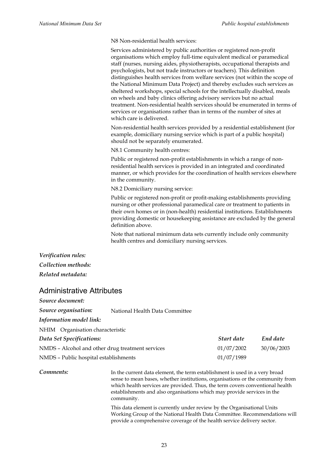N8 Non-residential health services:

Services administered by public authorities or registered non-profit organisations which employ full-time equivalent medical or paramedical staff (nurses, nursing aides, physiotherapists, occupational therapists and psychologists, but not trade instructors or teachers). This definition distinguishes health services from welfare services (not within the scope of the National Minimum Data Project) and thereby excludes such services as sheltered workshops, special schools for the intellectually disabled, meals on wheels and baby clinics offering advisory services but no actual treatment. Non-residential health services should be enumerated in terms of services or organisations rather than in terms of the number of sites at which care is delivered.

Non-residential health services provided by a residential establishment (for example, domiciliary nursing service which is part of a public hospital) should not be separately enumerated.

N8.1 Community health centres:

Public or registered non-profit establishments in which a range of nonresidential health services is provided in an integrated and coordinated manner, or which provides for the coordination of health services elsewhere in the community.

N8.2 Domiciliary nursing service:

Public or registered non-profit or profit-making establishments providing nursing or other professional paramedical care or treatment to patients in their own homes or in (non-health) residential institutions. Establishments providing domestic or housekeeping assistance are excluded by the general definition above.

Note that national minimum data sets currently include only community health centres and domiciliary nursing services.

*Verification rules: Collection methods: Related metadata:*

#### Administrative Attributes

| Source document:                                       |  |            |            |
|--------------------------------------------------------|--|------------|------------|
| Source organisation:<br>National Health Data Committee |  |            |            |
| Information model link:                                |  |            |            |
| NHIM Organisation characteristic                       |  |            |            |
| Data Set Specifications:                               |  | Start date | End date   |
| NMDS - Alcohol and other drug treatment services       |  | 01/07/2002 | 30/06/2003 |
| NMDS - Public hospital establishments                  |  | 01/07/1989 |            |
|                                                        |  |            |            |

**Comments:** In the current data element, the term establishment is used in a very broad sense to mean bases, whether institutions, organisations or the community from which health services are provided. Thus, the term covers conventional health establishments and also organisations which may provide services in the community.

> This data element is currently under review by the Organisational Units Working Group of the National Health Data Committee. Recommendations will provide a comprehensive coverage of the health service delivery sector.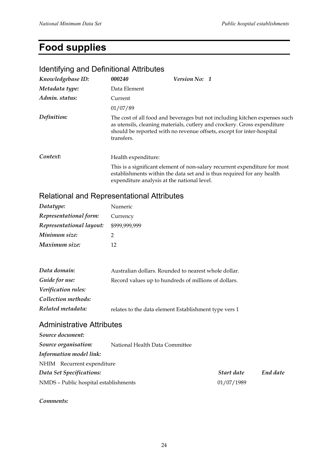# **Food supplies**

| <u>luentitying and Definitional Attributes</u> |                     |                                                                                                                                                                                                                                 |
|------------------------------------------------|---------------------|---------------------------------------------------------------------------------------------------------------------------------------------------------------------------------------------------------------------------------|
| Knowledgebase ID:                              | 000240              | <b>Version No: 1</b>                                                                                                                                                                                                            |
| Metadata type:                                 | Data Element        |                                                                                                                                                                                                                                 |
| Admin. status:                                 | Current             |                                                                                                                                                                                                                                 |
|                                                | 01/07/89            |                                                                                                                                                                                                                                 |
| Definition:                                    | transfers.          | The cost of all food and beverages but not including kitchen expenses such<br>as utensils, cleaning materials, cutlery and crockery. Gross expenditure<br>should be reported with no revenue offsets, except for inter-hospital |
| Context:                                       | Health expenditure: |                                                                                                                                                                                                                                 |
|                                                |                     | This is a significant element of non-salary recurrent expenditure for most<br>establishments within the data set and is thus required for any health<br>expenditure analysis at the national level.                             |

#### Identifying and Definitional Attributes

## Relational and Representational Attributes

| Datatype:                | Numeric       |
|--------------------------|---------------|
| Representational form:   | Currency      |
| Representational layout: | \$999,999,999 |
| Minimum size:            | 2             |
| Maximum size:            | 12            |

| Data domain:        | Australian dollars. Rounded to nearest whole dollar.  |
|---------------------|-------------------------------------------------------|
| Guide for use:      | Record values up to hundreds of millions of dollars.  |
| Verification rules: |                                                       |
| Collection methods: |                                                       |
| Related metadata:   | relates to the data element Establishment type vers 1 |

### Administrative Attributes

| Source document:                      |                                |            |          |
|---------------------------------------|--------------------------------|------------|----------|
| Source organisation:                  | National Health Data Committee |            |          |
| Information model link:               |                                |            |          |
| NHIM Recurrent expenditure            |                                |            |          |
| Data Set Specifications:              |                                | Start date | End date |
| NMDS - Public hospital establishments |                                | 01/07/1989 |          |

*Comments:*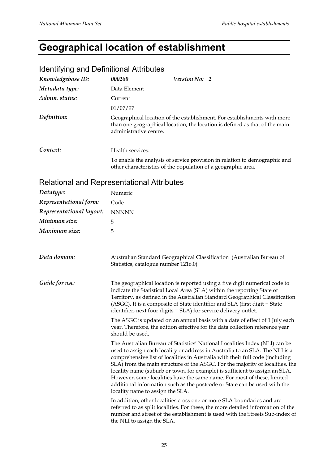# **Geographical location of establishment**

| <u>tuentinying and Definitional Attributes</u> |                        |                                                                                                                                                         |
|------------------------------------------------|------------------------|---------------------------------------------------------------------------------------------------------------------------------------------------------|
| Knowledgebase ID:                              | 000260                 | <b>Version No: 2</b>                                                                                                                                    |
| Metadata type:                                 | Data Element           |                                                                                                                                                         |
| Admin. status:                                 | Current                |                                                                                                                                                         |
|                                                | 01/07/97               |                                                                                                                                                         |
| Definition:                                    | administrative centre. | Geographical location of the establishment. For establishments with more<br>than one geographical location, the location is defined as that of the main |
| Context:                                       | Health services:       |                                                                                                                                                         |
|                                                |                        | To enable the analysis of service provision in relation to demographic and<br>other characteristics of the population of a geographic area.             |

# Identifying and Definitional Attributes

## Relational and Representational Attributes

| Datatype:                | Numeric                                                                                                                                                                                                                                                                                                                                                                                                                                                                                                                                                                                                  |  |
|--------------------------|----------------------------------------------------------------------------------------------------------------------------------------------------------------------------------------------------------------------------------------------------------------------------------------------------------------------------------------------------------------------------------------------------------------------------------------------------------------------------------------------------------------------------------------------------------------------------------------------------------|--|
| Representational form:   | Code                                                                                                                                                                                                                                                                                                                                                                                                                                                                                                                                                                                                     |  |
| Representational layout: | <b>NNNNN</b>                                                                                                                                                                                                                                                                                                                                                                                                                                                                                                                                                                                             |  |
| Minimum size:            | 5                                                                                                                                                                                                                                                                                                                                                                                                                                                                                                                                                                                                        |  |
| Maximum size:            | 5                                                                                                                                                                                                                                                                                                                                                                                                                                                                                                                                                                                                        |  |
|                          |                                                                                                                                                                                                                                                                                                                                                                                                                                                                                                                                                                                                          |  |
| Data domain:             | Australian Standard Geographical Classification (Australian Bureau of<br>Statistics, catalogue number 1216.0)                                                                                                                                                                                                                                                                                                                                                                                                                                                                                            |  |
| Guide for use:           | The geographical location is reported using a five digit numerical code to<br>indicate the Statistical Local Area (SLA) within the reporting State or<br>Territory, as defined in the Australian Standard Geographical Classification<br>(ASGC). It is a composite of State identifier and SLA (first digit = State<br>identifier, next four digits = SLA) for service delivery outlet.                                                                                                                                                                                                                  |  |
|                          | The ASGC is updated on an annual basis with a date of effect of 1 July each<br>year. Therefore, the edition effective for the data collection reference year<br>should be used.                                                                                                                                                                                                                                                                                                                                                                                                                          |  |
|                          | The Australian Bureau of Statistics' National Localities Index (NLI) can be<br>used to assign each locality or address in Australia to an SLA. The NLI is a<br>comprehensive list of localities in Australia with their full code (including<br>SLA) from the main structure of the ASGC. For the majority of localities, the<br>locality name (suburb or town, for example) is sufficient to assign an SLA.<br>However, some localities have the same name. For most of these, limited<br>additional information such as the postcode or State can be used with the<br>locality name to assign the SLA. |  |
|                          | In addition, other localities cross one or more SLA boundaries and are<br>referred to as split localities. For these, the more detailed information of the<br>number and street of the establishment is used with the Streets Sub-index of<br>the NLI to assign the SLA.                                                                                                                                                                                                                                                                                                                                 |  |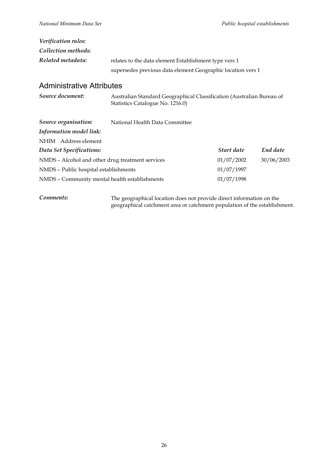| Verification rules: |                                                                                                                      |
|---------------------|----------------------------------------------------------------------------------------------------------------------|
| Collection methods: |                                                                                                                      |
| Related metadata:   | relates to the data element Establishment type vers 1<br>supersedes previous data element Geographic location vers 1 |

#### Administrative Attributes

| Source document:                                 | Australian Standard Geographical Classification (Australian Bureau of<br>Statistics Catalogue No. 1216.0) |            |            |
|--------------------------------------------------|-----------------------------------------------------------------------------------------------------------|------------|------------|
| Source organisation:                             | National Health Data Committee                                                                            |            |            |
| Information model link:                          |                                                                                                           |            |            |
| NHIM Address element                             |                                                                                                           |            |            |
| Data Set Specifications:                         |                                                                                                           | Start date | End date   |
| NMDS - Alcohol and other drug treatment services |                                                                                                           | 01/07/2002 | 30/06/2003 |
| NMDS - Public hospital establishments            |                                                                                                           | 01/07/1997 |            |
| NMDS - Community mental health establishments    |                                                                                                           | 01/07/1998 |            |

*Comments:* The geographical location does not provide direct information on the geographical catchment area or catchment population of the establishment.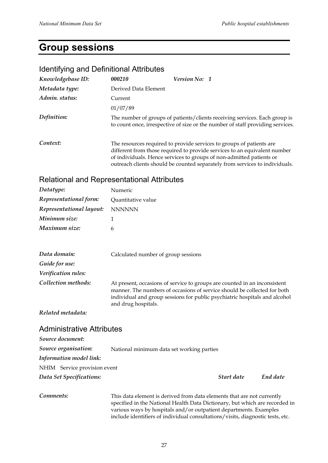# **Group sessions**

# Identifying and Definitional Attributes

| Knowledgebase ID: | 000210                                                                                                                                                                                                                                                                                                   | <b>Version No: 1</b>                                                                                                                                         |  |
|-------------------|----------------------------------------------------------------------------------------------------------------------------------------------------------------------------------------------------------------------------------------------------------------------------------------------------------|--------------------------------------------------------------------------------------------------------------------------------------------------------------|--|
| Metadata type:    | Derived Data Element                                                                                                                                                                                                                                                                                     |                                                                                                                                                              |  |
| Admin. status:    | Current                                                                                                                                                                                                                                                                                                  |                                                                                                                                                              |  |
|                   | 01/07/89                                                                                                                                                                                                                                                                                                 |                                                                                                                                                              |  |
| Definition:       |                                                                                                                                                                                                                                                                                                          | The number of groups of patients/clients receiving services. Each group is<br>to count once, irrespective of size or the number of staff providing services. |  |
| Context:          | The resources required to provide services to groups of patients are<br>different from those required to provide services to an equivalent number<br>of individuals. Hence services to groups of non-admitted patients or<br>outreach clients should be counted separately from services to individuals. |                                                                                                                                                              |  |

#### Relational and Representational Attributes

| Datatype:                | Numeric            |
|--------------------------|--------------------|
| Representational form:   | Quantitative value |
| Representational layout: | <b>NNNNNN</b>      |
| Minimum size:            |                    |
| Maximum size:            | h                  |

| Data domain:               | Calculated number of group sessions                                                                                                                                                                                                                        |
|----------------------------|------------------------------------------------------------------------------------------------------------------------------------------------------------------------------------------------------------------------------------------------------------|
| Guide for use:             |                                                                                                                                                                                                                                                            |
| <i>Verification rules:</i> |                                                                                                                                                                                                                                                            |
| Collection methods:        | At present, occasions of service to groups are counted in an inconsistent<br>manner. The numbers of occasions of service should be collected for both<br>individual and group sessions for public psychiatric hospitals and alcohol<br>and drug hospitals. |

*Related metadata:*

#### Administrative Attributes

| Source document:             |                                           |            |          |
|------------------------------|-------------------------------------------|------------|----------|
| Source organisation:         | National minimum data set working parties |            |          |
| Information model link:      |                                           |            |          |
| NHIM Service provision event |                                           |            |          |
| Data Set Specifications:     |                                           | Start date | End date |
|                              |                                           |            |          |
|                              |                                           |            |          |

#### **Comments:** This data element is derived from data elements that are not currently specified in the National Health Data Dictionary, but which are recorded in various ways by hospitals and/or outpatient departments. Examples include identifiers of individual consultations/visits, diagnostic tests, etc.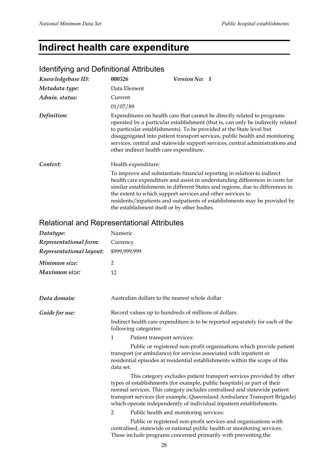# **Indirect health care expenditure**

# Identifying and Definitional Attributes

| Knowledgebase ID: | 000326                                                                                                                                                                                                                                                                                                                                                                                                                                        | <b>Version No: 1</b>                                                                                                                                                                                                                                                                                                                                                                |
|-------------------|-----------------------------------------------------------------------------------------------------------------------------------------------------------------------------------------------------------------------------------------------------------------------------------------------------------------------------------------------------------------------------------------------------------------------------------------------|-------------------------------------------------------------------------------------------------------------------------------------------------------------------------------------------------------------------------------------------------------------------------------------------------------------------------------------------------------------------------------------|
| Metadata type:    | Data Element                                                                                                                                                                                                                                                                                                                                                                                                                                  |                                                                                                                                                                                                                                                                                                                                                                                     |
| Admin. status:    | Current                                                                                                                                                                                                                                                                                                                                                                                                                                       |                                                                                                                                                                                                                                                                                                                                                                                     |
|                   | 01/07/89                                                                                                                                                                                                                                                                                                                                                                                                                                      |                                                                                                                                                                                                                                                                                                                                                                                     |
| Definition:       | Expenditures on health care that cannot be directly related to programs<br>operated by a particular establishment (that is, can only be indirectly related<br>to particular establishments). To be provided at the State level but<br>disaggregated into patient transport services, public health and monitoring<br>services, central and statewide support services, central administrations and<br>other indirect health care expenditure. |                                                                                                                                                                                                                                                                                                                                                                                     |
| Context:          | Health expenditure:                                                                                                                                                                                                                                                                                                                                                                                                                           |                                                                                                                                                                                                                                                                                                                                                                                     |
|                   | the establishment itself or by other bodies.                                                                                                                                                                                                                                                                                                                                                                                                  | To improve and substantiate financial reporting in relation to indirect<br>health care expenditure and assist in understanding differences in costs for<br>similar establishments in different States and regions, due to differences in<br>the extent to which support services and other services to<br>residents/inpatients and outpatients of establishments may be provided by |

# Relational and Representational Attributes

| Datatype:                | Numeric                                                                                                                                                                                                                                                                                                                                                                         |
|--------------------------|---------------------------------------------------------------------------------------------------------------------------------------------------------------------------------------------------------------------------------------------------------------------------------------------------------------------------------------------------------------------------------|
| Representational form:   | Currency                                                                                                                                                                                                                                                                                                                                                                        |
| Representational layout: | \$999,999,999                                                                                                                                                                                                                                                                                                                                                                   |
| Minimum size:            | $\overline{2}$                                                                                                                                                                                                                                                                                                                                                                  |
| Maximum size:            | 12                                                                                                                                                                                                                                                                                                                                                                              |
| Data domain:             | Australian dollars to the nearest whole dollar                                                                                                                                                                                                                                                                                                                                  |
| Guide for use:           | Record values up to hundreds of millions of dollars.                                                                                                                                                                                                                                                                                                                            |
|                          | Indirect health care expenditure is to be reported separately for each of the<br>following categories:                                                                                                                                                                                                                                                                          |
|                          | 1<br>Patient transport services:                                                                                                                                                                                                                                                                                                                                                |
|                          | Public or registered non-profit organisations which provide patient<br>transport (or ambulance) for services associated with inpatient or<br>residential episodes at residential establishments within the scope of this<br>data set.                                                                                                                                           |
|                          | This category excludes patient transport services provided by other<br>types of establishments (for example, public hospitals) as part of their<br>normal services. This category includes centralised and statewide patient<br>transport services (for example, Queensland Ambulance Transport Brigade)<br>which operate independently of individual inpatient establishments. |
|                          | Public health and monitoring services:<br>2                                                                                                                                                                                                                                                                                                                                     |
|                          | Public or registered non-profit services and organisations with<br>centralised, statewide or national public health or monitoring services.<br>These include programs concerned primarily with preventing the                                                                                                                                                                   |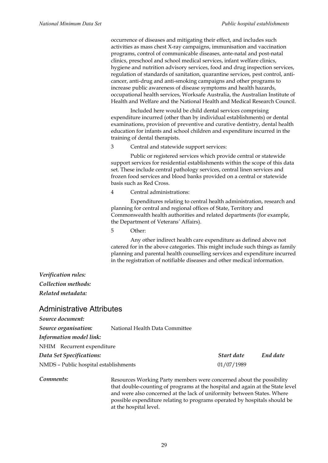occurrence of diseases and mitigating their effect, and includes such activities as mass chest X-ray campaigns, immunisation and vaccination programs, control of communicable diseases, ante-natal and post-natal clinics, preschool and school medical services, infant welfare clinics, hygiene and nutrition advisory services, food and drug inspection services, regulation of standards of sanitation, quarantine services, pest control, anticancer, anti-drug and anti-smoking campaigns and other programs to increase public awareness of disease symptoms and health hazards, occupational health services, Worksafe Australia, the Australian Institute of Health and Welfare and the National Health and Medical Research Council.

Included here would be child dental services comprising expenditure incurred (other than by individual establishments) or dental examinations, provision of preventive and curative dentistry, dental health education for infants and school children and expenditure incurred in the training of dental therapists.

3 Central and statewide support services:

Public or registered services which provide central or statewide support services for residential establishments within the scope of this data set. These include central pathology services, central linen services and frozen food services and blood banks provided on a central or statewide basis such as Red Cross.

4 Central administrations:

Expenditures relating to central health administration, research and planning for central and regional offices of State, Territory and Commonwealth health authorities and related departments (for example, the Department of Veterans*'* Affairs).

5 Other:

Any other indirect health care expenditure as defined above not catered for in the above categories. This might include such things as family planning and parental health counselling services and expenditure incurred in the registration of notifiable diseases and other medical information.

#### *Verification rules: Collection methods: Related metadata:*

#### Administrative Attributes

*Source document: Source organisation:* National Health Data Committee *Information model link:* NHIM Recurrent expenditure *Data Set Specifications: Start date End date* NMDS – Public hospital establishments 01/07/1989

**Comments:** Resources Working Party members were concerned about the possibility that double-counting of programs at the hospital and again at the State level and were also concerned at the lack of uniformity between States. Where possible expenditure relating to programs operated by hospitals should be at the hospital level.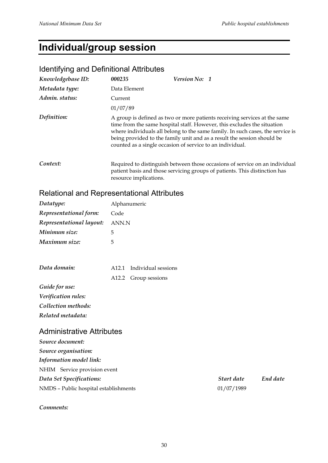# **Individual/group session**

## Identifying and Definitional Attributes

| Knowledgebase ID: | 000235                 | Version No: 1                                                                                                                                                                                                                                                                                                                                                                  |
|-------------------|------------------------|--------------------------------------------------------------------------------------------------------------------------------------------------------------------------------------------------------------------------------------------------------------------------------------------------------------------------------------------------------------------------------|
| Metadata type:    | Data Element           |                                                                                                                                                                                                                                                                                                                                                                                |
| Admin. status:    | Current                |                                                                                                                                                                                                                                                                                                                                                                                |
|                   | 01/07/89               |                                                                                                                                                                                                                                                                                                                                                                                |
| Definition:       |                        | A group is defined as two or more patients receiving services at the same<br>time from the same hospital staff. However, this excludes the situation<br>where individuals all belong to the same family. In such cases, the service is<br>being provided to the family unit and as a result the session should be<br>counted as a single occasion of service to an individual. |
| Context:          | resource implications. | Required to distinguish between those occasions of service on an individual<br>patient basis and those servicing groups of patients. This distinction has                                                                                                                                                                                                                      |

# Relational and Representational Attributes

| Datatype:                | Alphanumeric |
|--------------------------|--------------|
| Representational form:   | Code         |
| Representational layout: | ANN.N        |
| Minimum size:            | 5            |
| Maximum size:            |              |

| Data domain: | A12.1 Individual sessions |
|--------------|---------------------------|
|              | A12.2 Group sessions      |

*Guide for use: Verification rules: Collection methods: Related metadata:*

#### Administrative Attributes

| Source document:                      |            |          |
|---------------------------------------|------------|----------|
| Source organisation:                  |            |          |
| Information model link:               |            |          |
| NHIM Service provision event          |            |          |
| Data Set Specifications:              | Start date | End date |
| NMDS - Public hospital establishments | 01/07/1989 |          |

#### *Comments:*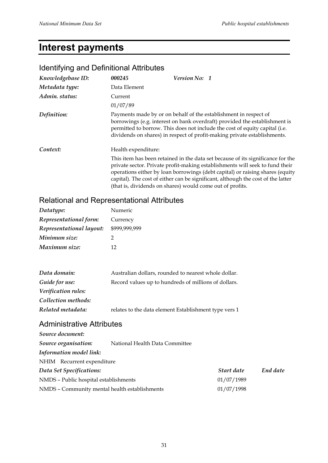# **Interest payments**

#### Identifying and Definitional Attributes *Knowledgebase ID: 000245 Version No: 1 Metadata type:* Data Element *Admin. status:* Current 01/07/89 *Definition:* Payments made by or on behalf of the establishment in respect of borrowings (e.g. interest on bank overdraft) provided the establishment is permitted to borrow. This does not include the cost of equity capital (i.e. dividends on shares) in respect of profit-making private establishments. **Context:** Health expenditure: This item has been retained in the data set because of its significance for the private sector. Private profit-making establishments will seek to fund their operations either by loan borrowings (debt capital) or raising shares (equity capital). The cost of either can be significant, although the cost of the latter (that is, dividends on shares) would come out of profits.

#### Relational and Representational Attributes

| Datatype:                | Numeric       |  |
|--------------------------|---------------|--|
| Representational form:   | Currency      |  |
| Representational layout: | \$999,999,999 |  |
| Minimum size:            | 2             |  |
| Maximum size:            | 12            |  |

| Data domain:        | Australian dollars, rounded to nearest whole dollar.  |
|---------------------|-------------------------------------------------------|
| Guide for use:      | Record values up to hundreds of millions of dollars.  |
| Verification rules: |                                                       |
| Collection methods: |                                                       |
| Related metadata:   | relates to the data element Establishment type vers 1 |

#### Administrative Attributes

| Source document:                              |                                |            |          |
|-----------------------------------------------|--------------------------------|------------|----------|
| Source organisation:                          | National Health Data Committee |            |          |
| Information model link:                       |                                |            |          |
| NHIM Recurrent expenditure                    |                                |            |          |
| Data Set Specifications:                      |                                | Start date | End date |
| NMDS - Public hospital establishments         |                                | 01/07/1989 |          |
| NMDS - Community mental health establishments |                                | 01/07/1998 |          |
|                                               |                                |            |          |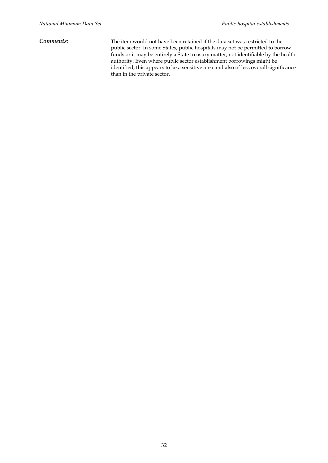*Comments:* The item would not have been retained if the data set was restricted to the public sector. In some States, public hospitals may not be permitted to borrow funds or it may be entirely a State treasury matter, not identifiable by the health authority. Even where public sector establishment borrowings might be identified, this appears to be a sensitive area and also of less overall significance than in the private sector.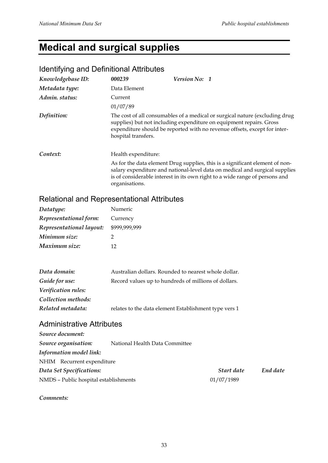# **Medical and surgical supplies**

# Identifying and Definitional Attributes

| Knowledgebase ID: | 000239              | Version No: 1 |                                                                                                                                                                                                                                            |
|-------------------|---------------------|---------------|--------------------------------------------------------------------------------------------------------------------------------------------------------------------------------------------------------------------------------------------|
| Metadata type:    | Data Element        |               |                                                                                                                                                                                                                                            |
| Admin. status:    | Current             |               |                                                                                                                                                                                                                                            |
|                   | 01/07/89            |               |                                                                                                                                                                                                                                            |
| Definition:       | hospital transfers. |               | The cost of all consumables of a medical or surgical nature (excluding drug<br>supplies) but not including expenditure on equipment repairs. Gross<br>expenditure should be reported with no revenue offsets, except for inter-            |
| Context:          | Health expenditure: |               |                                                                                                                                                                                                                                            |
|                   | organisations.      |               | As for the data element Drug supplies, this is a significant element of non-<br>salary expenditure and national-level data on medical and surgical supplies<br>is of considerable interest in its own right to a wide range of persons and |

# Relational and Representational Attributes

| Datatype:                | Numeric       |  |
|--------------------------|---------------|--|
| Representational form:   | Currency      |  |
| Representational layout: | \$999,999,999 |  |
| Minimum size:            | 2             |  |
| Maximum size:            | 12            |  |

| Data domain:        | Australian dollars. Rounded to nearest whole dollar.  |
|---------------------|-------------------------------------------------------|
| Guide for use:      | Record values up to hundreds of millions of dollars.  |
| Verification rules: |                                                       |
| Collection methods: |                                                       |
| Related metadata:   | relates to the data element Establishment type vers 1 |

### Administrative Attributes

| National Health Data Committee        |            |            |
|---------------------------------------|------------|------------|
|                                       |            |            |
| NHIM Recurrent expenditure            |            |            |
| Data Set Specifications:              |            | End date   |
| NMDS - Public hospital establishments | 01/07/1989 |            |
|                                       |            | Start date |

*Comments:*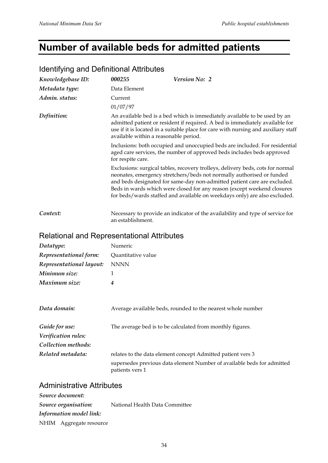# **Number of available beds for admitted patients**

| Knowledgebase ID: | 000255                                                                                                                                                                     | Version No: 2                                                                                                                                                                                                                                                                                                                                                                               |  |
|-------------------|----------------------------------------------------------------------------------------------------------------------------------------------------------------------------|---------------------------------------------------------------------------------------------------------------------------------------------------------------------------------------------------------------------------------------------------------------------------------------------------------------------------------------------------------------------------------------------|--|
| Metadata type:    | Data Element                                                                                                                                                               |                                                                                                                                                                                                                                                                                                                                                                                             |  |
| Admin. status:    | Current                                                                                                                                                                    |                                                                                                                                                                                                                                                                                                                                                                                             |  |
|                   | 01/07/97                                                                                                                                                                   |                                                                                                                                                                                                                                                                                                                                                                                             |  |
| Definition:       |                                                                                                                                                                            | An available bed is a bed which is immediately available to be used by an<br>admitted patient or resident if required. A bed is immediately available for<br>use if it is located in a suitable place for care with nursing and auxiliary staff<br>available within a reasonable period.                                                                                                    |  |
|                   | Inclusions: both occupied and unoccupied beds are included. For residential<br>aged care services, the number of approved beds includes beds approved<br>for respite care. |                                                                                                                                                                                                                                                                                                                                                                                             |  |
|                   |                                                                                                                                                                            | Exclusions: surgical tables, recovery trolleys, delivery beds, cots for normal<br>neonates, emergency stretchers/beds not normally authorised or funded<br>and beds designated for same-day non-admitted patient care are excluded.<br>Beds in wards which were closed for any reason (except weekend closures<br>for beds/wards staffed and available on weekdays only) are also excluded. |  |
| Context:          | an establishment.                                                                                                                                                          | Necessary to provide an indicator of the availability and type of service for                                                                                                                                                                                                                                                                                                               |  |

#### Identifying and Definitional Attributes

## Relational and Representational Attributes

| Datatype:                | Numeric            |
|--------------------------|--------------------|
| Representational form:   | Quantitative value |
| Representational layout: | <b>NNNN</b>        |
| Minimum size:            |                    |
| Maximum size:            | 4                  |
|                          |                    |
|                          |                    |

| Data domain:                          | Average available beds, rounded to the nearest whole number                               |
|---------------------------------------|-------------------------------------------------------------------------------------------|
| Guide for use:<br>Verification rules: | The average bed is to be calculated from monthly figures.                                 |
| Collection methods:                   |                                                                                           |
| Related metadata:                     | relates to the data element concept Admitted patient vers 3                               |
|                                       | supersedes previous data element Number of available beds for admitted<br>patients vers 1 |

#### Administrative Attributes

| Source document:        |                                |
|-------------------------|--------------------------------|
| Source organisation:    | National Health Data Committee |
| Information model link: |                                |
| NHIM Aggregate resource |                                |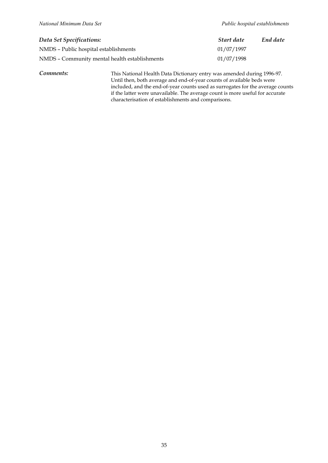| Data Set Specifications:                      | Start date | End date |
|-----------------------------------------------|------------|----------|
| NMDS - Public hospital establishments         | 01/07/1997 |          |
| NMDS - Community mental health establishments | 01/07/1998 |          |

*Comments:* This National Health Data Dictionary entry was amended during 1996-97. Until then, both average and end-of-year counts of available beds were included, and the end-of-year counts used as surrogates for the average counts if the latter were unavailable. The average count is more useful for accurate characterisation of establishments and comparisons.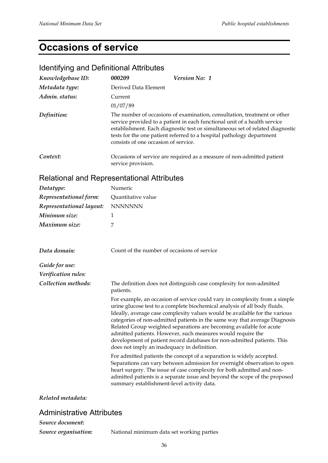# **Occasions of service**

## Identifying and Definitional Attributes

| Knowledgebase ID: | 000209                               | <b>Version No: 1</b>                                                                                                                                                                                                                                                                                            |
|-------------------|--------------------------------------|-----------------------------------------------------------------------------------------------------------------------------------------------------------------------------------------------------------------------------------------------------------------------------------------------------------------|
| Metadata type:    | Derived Data Element                 |                                                                                                                                                                                                                                                                                                                 |
| Admin. status:    | Current                              |                                                                                                                                                                                                                                                                                                                 |
|                   | 01/07/89                             |                                                                                                                                                                                                                                                                                                                 |
| Definition:       | consists of one occasion of service. | The number of occasions of examination, consultation, treatment or other<br>service provided to a patient in each functional unit of a health service<br>establishment. Each diagnostic test or simultaneous set of related diagnostic<br>tests for the one patient referred to a hospital pathology department |
| Context:          | service provision.                   | Occasions of service are required as a measure of non-admitted patient                                                                                                                                                                                                                                          |

### Relational and Representational Attributes

| Datatype:                | Numeric                                                                                                                                                                                                                                                                                                                                                                                                                                                                                                                                                                             |
|--------------------------|-------------------------------------------------------------------------------------------------------------------------------------------------------------------------------------------------------------------------------------------------------------------------------------------------------------------------------------------------------------------------------------------------------------------------------------------------------------------------------------------------------------------------------------------------------------------------------------|
| Representational form:   | Quantitative value                                                                                                                                                                                                                                                                                                                                                                                                                                                                                                                                                                  |
| Representational layout: | <b>NNNNNNN</b>                                                                                                                                                                                                                                                                                                                                                                                                                                                                                                                                                                      |
| Minimum size:            | 1                                                                                                                                                                                                                                                                                                                                                                                                                                                                                                                                                                                   |
| Maximum size:            | 7                                                                                                                                                                                                                                                                                                                                                                                                                                                                                                                                                                                   |
| Data domain:             | Count of the number of occasions of service                                                                                                                                                                                                                                                                                                                                                                                                                                                                                                                                         |
| Guide for use:           |                                                                                                                                                                                                                                                                                                                                                                                                                                                                                                                                                                                     |
| Verification rules:      |                                                                                                                                                                                                                                                                                                                                                                                                                                                                                                                                                                                     |
| Collection methods:      | The definition does not distinguish case complexity for non-admitted<br>patients.                                                                                                                                                                                                                                                                                                                                                                                                                                                                                                   |
|                          | For example, an occasion of service could vary in complexity from a simple<br>urine glucose test to a complete biochemical analysis of all body fluids.<br>Ideally, average case complexity values would be available for the various<br>categories of non-admitted patients in the same way that average Diagnosis<br>Related Group weighted separations are becoming available for acute<br>admitted patients. However, such measures would require the<br>development of patient record databases for non-admitted patients. This<br>does not imply an inadequacy in definition. |
|                          | For admitted patients the concept of a separation is widely accepted.<br>Separations can vary between admission for overnight observation to open<br>heart surgery. The issue of case complexity for both admitted and non-<br>admitted patients is a separate issue and beyond the scope of the proposed<br>summary establishment-level activity data.                                                                                                                                                                                                                             |

*Related metadata:*

### Administrative Attributes

*Source document:*

*Source organisation:* National minimum data set working parties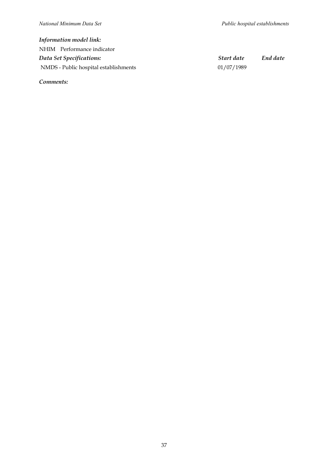### *Information model link:* NHIM Performance indicator *Data Set Specifications: Start date End date* NMDS - Public hospital establishments 01/07/1989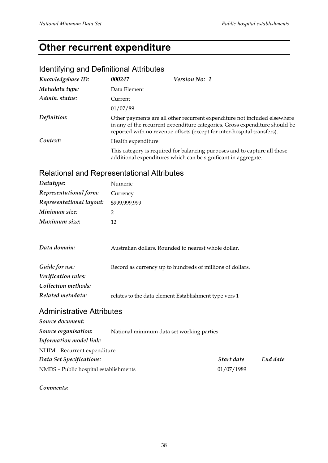# **Other recurrent expenditure**

## Identifying and Definitional Attributes

| Knowledgebase ID: | 000247              | Version No: 1                                                                                                                                                                                                                       |
|-------------------|---------------------|-------------------------------------------------------------------------------------------------------------------------------------------------------------------------------------------------------------------------------------|
| Metadata type:    | Data Element        |                                                                                                                                                                                                                                     |
| Admin. status:    | Current             |                                                                                                                                                                                                                                     |
|                   | 01/07/89            |                                                                                                                                                                                                                                     |
| Definition:       |                     | Other payments are all other recurrent expenditure not included elsewhere<br>in any of the recurrent expenditure categories. Gross expenditure should be<br>reported with no revenue offsets (except for inter-hospital transfers). |
| Context:          | Health expenditure: |                                                                                                                                                                                                                                     |
|                   |                     | This category is required for balancing purposes and to capture all those<br>additional expenditures which can be significant in aggregate.                                                                                         |

## Relational and Representational Attributes

| Datatype:                | Numeric       |
|--------------------------|---------------|
| Representational form:   | Currency      |
| Representational layout: | \$999,999,999 |
| Minimum size:            |               |
| Maximum size:            | 12            |
|                          |               |

| Data domain:        | Australian dollars. Rounded to nearest whole dollar.      |  |  |
|---------------------|-----------------------------------------------------------|--|--|
| Guide for use:      | Record as currency up to hundreds of millions of dollars. |  |  |
| Verification rules: |                                                           |  |  |
| Collection methods: |                                                           |  |  |
| Related metadata:   | relates to the data element Establishment type vers 1     |  |  |

### Administrative Attributes

| Source document:                      |                                           |            |          |
|---------------------------------------|-------------------------------------------|------------|----------|
| Source organisation:                  | National minimum data set working parties |            |          |
| Information model link:               |                                           |            |          |
| NHIM Recurrent expenditure            |                                           |            |          |
| Data Set Specifications:              |                                           | Start date | End date |
| NMDS - Public hospital establishments |                                           | 01/07/1989 |          |
|                                       |                                           |            |          |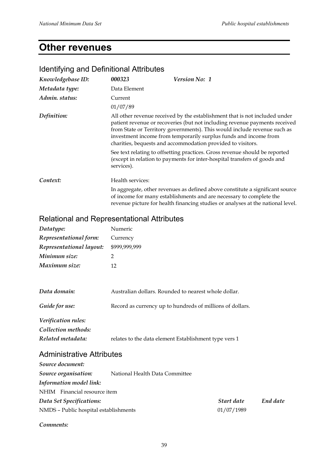# **Other revenues**

| Knowledgebase ID: | 000323                                            | <b>Version No: 1</b>                                                                                                                                                                                                                                                                                                                                                    |
|-------------------|---------------------------------------------------|-------------------------------------------------------------------------------------------------------------------------------------------------------------------------------------------------------------------------------------------------------------------------------------------------------------------------------------------------------------------------|
| Metadata type:    | Data Element                                      |                                                                                                                                                                                                                                                                                                                                                                         |
| Admin. status:    | Current                                           |                                                                                                                                                                                                                                                                                                                                                                         |
|                   | 01/07/89                                          |                                                                                                                                                                                                                                                                                                                                                                         |
| Definition:       |                                                   | All other revenue received by the establishment that is not included under<br>patient revenue or recoveries (but not including revenue payments received<br>from State or Territory governments). This would include revenue such as<br>investment income from temporarily surplus funds and income from<br>charities, bequests and accommodation provided to visitors. |
|                   | services).                                        | See text relating to offsetting practices. Gross revenue should be reported<br>(except in relation to payments for inter-hospital transfers of goods and                                                                                                                                                                                                                |
| Context:          | Health services:                                  |                                                                                                                                                                                                                                                                                                                                                                         |
|                   |                                                   | In aggregate, other revenues as defined above constitute a significant source<br>of income for many establishments and are necessary to complete the<br>revenue picture for health financing studies or analyses at the national level.                                                                                                                                 |
|                   | <b>Relational and Representational Attributes</b> |                                                                                                                                                                                                                                                                                                                                                                         |

### Identifying and Definitional Attributes

| <b>Relational and Representational Attributes</b> |  |
|---------------------------------------------------|--|
|---------------------------------------------------|--|

| Datatype:                | Numeric       |
|--------------------------|---------------|
| Representational form:   | Currency      |
| Representational layout: | \$999,999,999 |
| Minimum size:            | 2             |
| Maximum size:            | 12            |

| Data domain:        | Australian dollars. Rounded to nearest whole dollar.      |  |  |
|---------------------|-----------------------------------------------------------|--|--|
| Guide for use:      | Record as currency up to hundreds of millions of dollars. |  |  |
| Verification rules: |                                                           |  |  |
| Collection methods: |                                                           |  |  |
| Related metadata:   | relates to the data element Establishment type vers 1     |  |  |

### Administrative Attributes

| Source document:                      |                                |            |          |
|---------------------------------------|--------------------------------|------------|----------|
| Source organisation:                  | National Health Data Committee |            |          |
| Information model link:               |                                |            |          |
| NHIM Financial resource item          |                                |            |          |
| Data Set Specifications:              |                                | Start date | End date |
| NMDS - Public hospital establishments |                                | 01/07/1989 |          |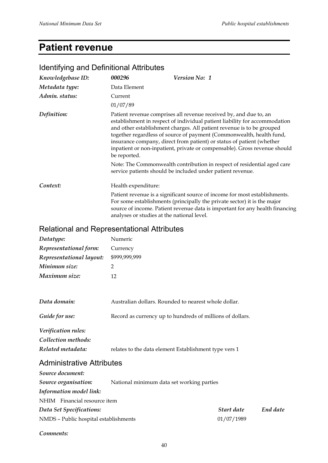# **Patient revenue**

| Identifying and Definitional Attributes    |                     |                                                                                                                                                                                                                                                                                                                                                                                                                                                        |
|--------------------------------------------|---------------------|--------------------------------------------------------------------------------------------------------------------------------------------------------------------------------------------------------------------------------------------------------------------------------------------------------------------------------------------------------------------------------------------------------------------------------------------------------|
| Knowledgebase ID:                          | 000296              | Version No: 1                                                                                                                                                                                                                                                                                                                                                                                                                                          |
| Metadata type:                             | Data Element        |                                                                                                                                                                                                                                                                                                                                                                                                                                                        |
| Admin. status:                             | Current             |                                                                                                                                                                                                                                                                                                                                                                                                                                                        |
|                                            | 01/07/89            |                                                                                                                                                                                                                                                                                                                                                                                                                                                        |
| Definition:                                | be reported.        | Patient revenue comprises all revenue received by, and due to, an<br>establishment in respect of individual patient liability for accommodation<br>and other establishment charges. All patient revenue is to be grouped<br>together regardless of source of payment (Commonwealth, health fund,<br>insurance company, direct from patient) or status of patient (whether<br>inpatient or non-inpatient, private or compensable). Gross revenue should |
|                                            |                     | Note: The Commonwealth contribution in respect of residential aged care<br>service patients should be included under patient revenue.                                                                                                                                                                                                                                                                                                                  |
| Context:                                   | Health expenditure: |                                                                                                                                                                                                                                                                                                                                                                                                                                                        |
|                                            |                     | Patient revenue is a significant source of income for most establishments.<br>For some establishments (principally the private sector) it is the major<br>source of income. Patient revenue data is important for any health financing<br>analyses or studies at the national level.                                                                                                                                                                   |
| Relational and Representational Attributes |                     |                                                                                                                                                                                                                                                                                                                                                                                                                                                        |
| Datatype:                                  | Numeric             |                                                                                                                                                                                                                                                                                                                                                                                                                                                        |
| Representational form:                     | Currency            |                                                                                                                                                                                                                                                                                                                                                                                                                                                        |
| Representational layout:                   | \$999,999,999       |                                                                                                                                                                                                                                                                                                                                                                                                                                                        |
| Minimum size:                              | $\overline{2}$      |                                                                                                                                                                                                                                                                                                                                                                                                                                                        |
| Maximum size:                              | 12                  |                                                                                                                                                                                                                                                                                                                                                                                                                                                        |
| Data domain:                               |                     | Australian dollars. Rounded to nearest whole dollar.                                                                                                                                                                                                                                                                                                                                                                                                   |
| Guide for use:                             |                     | Record as currency up to hundreds of millions of dollars.                                                                                                                                                                                                                                                                                                                                                                                              |
| Verification rules:                        |                     |                                                                                                                                                                                                                                                                                                                                                                                                                                                        |
| Collection methods:                        |                     |                                                                                                                                                                                                                                                                                                                                                                                                                                                        |
| Related metadata:                          |                     | relates to the data element Establishment type vers 1                                                                                                                                                                                                                                                                                                                                                                                                  |
| <b>Administrative Attributes</b>           |                     |                                                                                                                                                                                                                                                                                                                                                                                                                                                        |
| Source document:                           |                     |                                                                                                                                                                                                                                                                                                                                                                                                                                                        |
| Source organisation:                       |                     | National minimum data set working parties                                                                                                                                                                                                                                                                                                                                                                                                              |
| <b>Information model link:</b>             |                     |                                                                                                                                                                                                                                                                                                                                                                                                                                                        |
| NHIM Financial resource item               |                     |                                                                                                                                                                                                                                                                                                                                                                                                                                                        |

### Identifying and Definitional Attributes

*Comments:*

*Data Set Specifications: Start date End date*

NMDS – Public hospital establishments 01/07/1989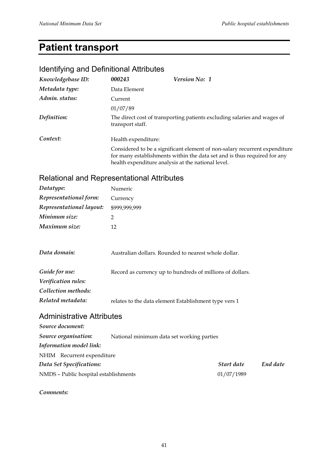# **Patient transport**

### Identifying and Definitional Attributes

| Knowledgebase ID: | 000243              | <b>Version No: 1</b>                                                                                                                                                                                         |
|-------------------|---------------------|--------------------------------------------------------------------------------------------------------------------------------------------------------------------------------------------------------------|
| Metadata type:    | Data Element        |                                                                                                                                                                                                              |
| Admin. status:    | Current             |                                                                                                                                                                                                              |
|                   | 01/07/89            |                                                                                                                                                                                                              |
| Definition:       | transport staff.    | The direct cost of transporting patients excluding salaries and wages of                                                                                                                                     |
| Context:          | Health expenditure: |                                                                                                                                                                                                              |
|                   |                     | Considered to be a significant element of non-salary recurrent expenditure<br>for many establishments within the data set and is thus required for any<br>health expenditure analysis at the national level. |

## Relational and Representational Attributes

| Datatype:                | Numeric       |
|--------------------------|---------------|
| Representational form:   | Currency      |
| Representational layout: | \$999,999,999 |
| Minimum size:            | 2             |
| Maximum size:            | 12            |

| Data domain:        | Australian dollars. Rounded to nearest whole dollar.      |  |  |
|---------------------|-----------------------------------------------------------|--|--|
| Guide for use:      | Record as currency up to hundreds of millions of dollars. |  |  |
| Verification rules: |                                                           |  |  |
| Collection methods: |                                                           |  |  |
| Related metadata:   | relates to the data element Establishment type vers 1     |  |  |

### Administrative Attributes

| Source document:                      |                                           |            |          |
|---------------------------------------|-------------------------------------------|------------|----------|
| Source organisation:                  | National minimum data set working parties |            |          |
| Information model link:               |                                           |            |          |
| NHIM Recurrent expenditure            |                                           |            |          |
| Data Set Specifications:              |                                           | Start date | End date |
| NMDS - Public hospital establishments |                                           | 01/07/1989 |          |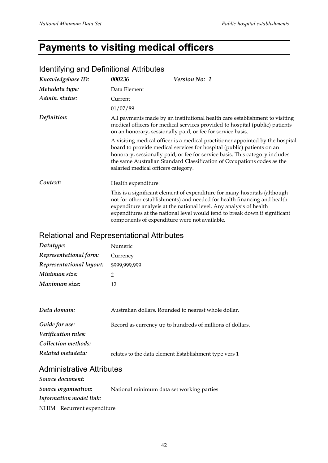# **Payments to visiting medical officers**

| 000236              | Version No: 1                                                                                                                                                                                                                                                                                                       |
|---------------------|---------------------------------------------------------------------------------------------------------------------------------------------------------------------------------------------------------------------------------------------------------------------------------------------------------------------|
| Data Element        |                                                                                                                                                                                                                                                                                                                     |
| Current             |                                                                                                                                                                                                                                                                                                                     |
| 01/07/89            |                                                                                                                                                                                                                                                                                                                     |
|                     | All payments made by an institutional health care establishment to visiting<br>medical officers for medical services provided to hospital (public) patients<br>on an honorary, sessionally paid, or fee for service basis.                                                                                          |
|                     | A visiting medical officer is a medical practitioner appointed by the hospital<br>board to provide medical services for hospital (public) patients on an<br>honorary, sessionally paid, or fee for service basis. This category includes<br>the same Australian Standard Classification of Occupations codes as the |
| Health expenditure: |                                                                                                                                                                                                                                                                                                                     |
|                     | This is a significant element of expenditure for many hospitals (although<br>not for other establishments) and needed for health financing and health<br>expenditure analysis at the national level. Any analysis of health<br>expenditures at the national level would tend to break down if significant           |
|                     | salaried medical officers category.<br>components of expenditure were not available.                                                                                                                                                                                                                                |

### Identifying and Definitional Attributes

### Relational and Representational Attributes

| Datatype:                | Numeric       |
|--------------------------|---------------|
| Representational form:   | Currency      |
| Representational layout: | \$999,999,999 |
| Minimum size:            | 2             |
| Maximum size:            | 12            |

| Data domain:        | Australian dollars. Rounded to nearest whole dollar.      |
|---------------------|-----------------------------------------------------------|
| Guide for use:      | Record as currency up to hundreds of millions of dollars. |
| Verification rules: |                                                           |
| Collection methods: |                                                           |
| Related metadata:   | relates to the data element Establishment type vers 1     |

## Administrative Attributes

| Source document:           |                                           |
|----------------------------|-------------------------------------------|
| Source organisation:       | National minimum data set working parties |
| Information model link:    |                                           |
| NHIM Recurrent expenditure |                                           |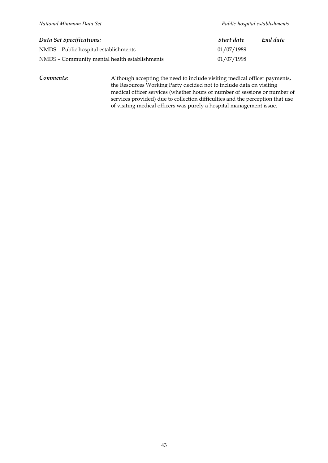| Data Set Specifications:                      | Start date | End date |
|-----------------------------------------------|------------|----------|
| NMDS - Public hospital establishments         | 01/07/1989 |          |
| NMDS - Community mental health establishments | 01/07/1998 |          |

*Comments:* Although accepting the need to include visiting medical officer payments, the Resources Working Party decided not to include data on visiting medical officer services (whether hours or number of sessions or number of services provided) due to collection difficulties and the perception that use of visiting medical officers was purely a hospital management issue.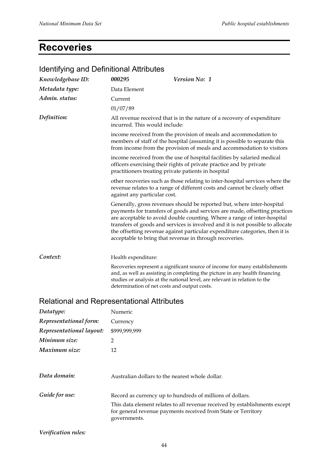# **Recoveries**

| <u>tueritii yli iy ariu Defiritiivitat Attiibutes</u> |                                                     |                                                                                                                                                                                                                                                                                                                                                                                                                                                                |  |
|-------------------------------------------------------|-----------------------------------------------------|----------------------------------------------------------------------------------------------------------------------------------------------------------------------------------------------------------------------------------------------------------------------------------------------------------------------------------------------------------------------------------------------------------------------------------------------------------------|--|
| Knowledgebase ID:                                     | 000295                                              | Version No: 1                                                                                                                                                                                                                                                                                                                                                                                                                                                  |  |
| Metadata type:                                        | Data Element                                        |                                                                                                                                                                                                                                                                                                                                                                                                                                                                |  |
| Admin. status:                                        | Current                                             |                                                                                                                                                                                                                                                                                                                                                                                                                                                                |  |
|                                                       | 01/07/89                                            |                                                                                                                                                                                                                                                                                                                                                                                                                                                                |  |
| Definition:                                           | incurred. This would include:                       | All revenue received that is in the nature of a recovery of expenditure                                                                                                                                                                                                                                                                                                                                                                                        |  |
|                                                       |                                                     | income received from the provision of meals and accommodation to<br>members of staff of the hospital (assuming it is possible to separate this<br>from income from the provision of meals and accommodation to visitors                                                                                                                                                                                                                                        |  |
|                                                       | practitioners treating private patients in hospital | income received from the use of hospital facilities by salaried medical<br>officers exercising their rights of private practice and by private                                                                                                                                                                                                                                                                                                                 |  |
|                                                       | against any particular cost.                        | other recoveries such as those relating to inter-hospital services where the<br>revenue relates to a range of different costs and cannot be clearly offset                                                                                                                                                                                                                                                                                                     |  |
|                                                       |                                                     | Generally, gross revenues should be reported but, where inter-hospital<br>payments for transfers of goods and services are made, offsetting practices<br>are acceptable to avoid double counting. Where a range of inter-hospital<br>transfers of goods and services is involved and it is not possible to allocate<br>the offsetting revenue against particular expenditure categories, then it is<br>acceptable to bring that revenue in through recoveries. |  |
| Context:                                              | Health expenditure:                                 |                                                                                                                                                                                                                                                                                                                                                                                                                                                                |  |
|                                                       | determination of net costs and output costs.        | Recoveries represent a significant source of income for many establishments<br>and, as well as assisting in completing the picture in any health financing<br>studies or analysis at the national level, are relevant in relation to the                                                                                                                                                                                                                       |  |
| Relational and Representational Attributes            |                                                     |                                                                                                                                                                                                                                                                                                                                                                                                                                                                |  |
| Datatype:                                             | Numeric                                             |                                                                                                                                                                                                                                                                                                                                                                                                                                                                |  |
| Representational form:                                | Currency                                            |                                                                                                                                                                                                                                                                                                                                                                                                                                                                |  |
| Representational layout:                              | \$999,999,999                                       |                                                                                                                                                                                                                                                                                                                                                                                                                                                                |  |
| Minimum size:                                         | 2                                                   |                                                                                                                                                                                                                                                                                                                                                                                                                                                                |  |
| Maximum size:                                         | 12                                                  |                                                                                                                                                                                                                                                                                                                                                                                                                                                                |  |
| Data domain:                                          | Australian dollars to the nearest whole dollar.     |                                                                                                                                                                                                                                                                                                                                                                                                                                                                |  |
| Guide for use:                                        |                                                     | Record as currency up to hundreds of millions of dollars.                                                                                                                                                                                                                                                                                                                                                                                                      |  |
|                                                       | governments.                                        | This data element relates to all revenue received by establishments except<br>for general revenue payments received from State or Territory                                                                                                                                                                                                                                                                                                                    |  |

### Identifying and Definitional Attributes

*Verification rules:*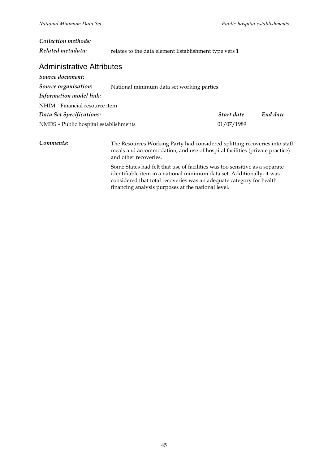| Collection methods:                   |                                                                                                                                                                                   |            |          |
|---------------------------------------|-----------------------------------------------------------------------------------------------------------------------------------------------------------------------------------|------------|----------|
| Related metadata:                     | relates to the data element Establishment type vers 1                                                                                                                             |            |          |
| <b>Administrative Attributes</b>      |                                                                                                                                                                                   |            |          |
| Source document:                      |                                                                                                                                                                                   |            |          |
| Source organisation:                  | National minimum data set working parties                                                                                                                                         |            |          |
| Information model link:               |                                                                                                                                                                                   |            |          |
| NHIM Financial resource item          |                                                                                                                                                                                   |            |          |
| Data Set Specifications:              |                                                                                                                                                                                   | Start date | End date |
| NMDS - Public hospital establishments |                                                                                                                                                                                   | 01/07/1989 |          |
| Comments:                             | The Resources Working Party had considered splitting recoveries into staff<br>meals and accommodation, and use of hospital facilities (private practice)<br>and other recoveries. |            |          |
|                                       | $\alpha$ , $\alpha$ is the set of the set of $\alpha$ is the set of $\alpha$ is the set of $\alpha$                                                                               |            |          |

Some States had felt that use of facilities was too sensitive as a separate identifiable item in a national minimum data set. Additionally, it was considered that total recoveries was an adequate category for health financing analysis purposes at the national level.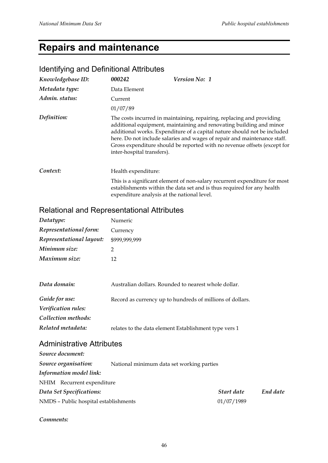# **Repairs and maintenance**

### Identifying and Definitional Attributes

| Knowledgebase ID: | 000242                                      | <b>Version No: 1</b>                                                                                                                                                                                                                                                                                                                                                             |
|-------------------|---------------------------------------------|----------------------------------------------------------------------------------------------------------------------------------------------------------------------------------------------------------------------------------------------------------------------------------------------------------------------------------------------------------------------------------|
| Metadata type:    | Data Element                                |                                                                                                                                                                                                                                                                                                                                                                                  |
| Admin. status:    | Current                                     |                                                                                                                                                                                                                                                                                                                                                                                  |
|                   | 01/07/89                                    |                                                                                                                                                                                                                                                                                                                                                                                  |
| Definition:       | inter-hospital transfers).                  | The costs incurred in maintaining, repairing, replacing and providing<br>additional equipment, maintaining and renovating building and minor<br>additional works. Expenditure of a capital nature should not be included<br>here. Do not include salaries and wages of repair and maintenance staff.<br>Gross expenditure should be reported with no revenue offsets (except for |
| Context:          | Health expenditure:                         |                                                                                                                                                                                                                                                                                                                                                                                  |
|                   | expenditure analysis at the national level. | This is a significant element of non-salary recurrent expenditure for most<br>establishments within the data set and is thus required for any health                                                                                                                                                                                                                             |

## Relational and Representational Attributes

| Datatype:                        | Numeric                                                   |  |
|----------------------------------|-----------------------------------------------------------|--|
| Representational form:           | Currency                                                  |  |
| Representational layout:         | \$999,999,999                                             |  |
| Minimum size:                    | 2                                                         |  |
| Maximum size:                    | 12                                                        |  |
|                                  |                                                           |  |
| Data domain:                     | Australian dollars. Rounded to nearest whole dollar.      |  |
| Guide for use:                   | Record as currency up to hundreds of millions of dollars. |  |
| Verification rules:              |                                                           |  |
| Collection methods:              |                                                           |  |
| Related metadata:                | relates to the data element Establishment type vers 1     |  |
| <b>Administrative Attributes</b> |                                                           |  |

| Source document:                      |                                           |            |          |
|---------------------------------------|-------------------------------------------|------------|----------|
| Source organisation:                  | National minimum data set working parties |            |          |
| <b>Information model link:</b>        |                                           |            |          |
| NHIM Recurrent expenditure            |                                           |            |          |
| Data Set Specifications:              |                                           | Start date | End date |
| NMDS - Public hospital establishments |                                           | 01/07/1989 |          |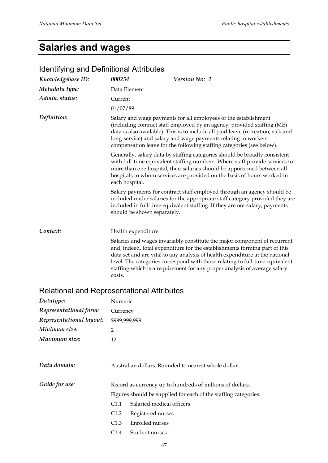# **Salaries and wages**

| <b>Identifying and Definitional Attributes</b>    |                                                                                                                                                                                                                                                                                                                                                                           |                                                                                                                                                                                                                                                                                                                                                                                                      |  |
|---------------------------------------------------|---------------------------------------------------------------------------------------------------------------------------------------------------------------------------------------------------------------------------------------------------------------------------------------------------------------------------------------------------------------------------|------------------------------------------------------------------------------------------------------------------------------------------------------------------------------------------------------------------------------------------------------------------------------------------------------------------------------------------------------------------------------------------------------|--|
| Knowledgebase ID:                                 | 000254                                                                                                                                                                                                                                                                                                                                                                    | Version No: 1                                                                                                                                                                                                                                                                                                                                                                                        |  |
| Metadata type:                                    | Data Element                                                                                                                                                                                                                                                                                                                                                              |                                                                                                                                                                                                                                                                                                                                                                                                      |  |
| Admin. status:                                    | Current                                                                                                                                                                                                                                                                                                                                                                   |                                                                                                                                                                                                                                                                                                                                                                                                      |  |
|                                                   | 01/07/89                                                                                                                                                                                                                                                                                                                                                                  |                                                                                                                                                                                                                                                                                                                                                                                                      |  |
| Definition:                                       | Salary and wage payments for all employees of the establishment<br>(including contract staff employed by an agency, provided staffing (ME)<br>data is also available). This is to include all paid leave (recreation, sick and<br>long-service) and salary and wage payments relating to workers<br>compensation leave for the following staffing categories (see below). |                                                                                                                                                                                                                                                                                                                                                                                                      |  |
|                                                   | Generally, salary data by staffing categories should be broadly consistent<br>with full-time equivalent staffing numbers. Where staff provide services to<br>more than one hospital, their salaries should be apportioned between all<br>hospitals to whom services are provided on the basis of hours worked in<br>each hospital.                                        |                                                                                                                                                                                                                                                                                                                                                                                                      |  |
|                                                   | should be shown separately.                                                                                                                                                                                                                                                                                                                                               | Salary payments for contract staff employed through an agency should be<br>included under salaries for the appropriate staff category provided they are<br>included in full-time equivalent staffing. If they are not salary, payments                                                                                                                                                               |  |
| Context:                                          | Health expenditure:                                                                                                                                                                                                                                                                                                                                                       |                                                                                                                                                                                                                                                                                                                                                                                                      |  |
|                                                   | costs.                                                                                                                                                                                                                                                                                                                                                                    | Salaries and wages invariably constitute the major component of recurrent<br>and, indeed, total expenditure for the establishments forming part of this<br>data set and are vital to any analysis of health expenditure at the national<br>level. The categories correspond with those relating to full-time equivalent<br>staffing which is a requirement for any proper analysis of average salary |  |
| <b>Relational and Representational Attributes</b> |                                                                                                                                                                                                                                                                                                                                                                           |                                                                                                                                                                                                                                                                                                                                                                                                      |  |
| Datatype:                                         | Numeric                                                                                                                                                                                                                                                                                                                                                                   |                                                                                                                                                                                                                                                                                                                                                                                                      |  |

| Representational form:   | Currency                                                        |  |
|--------------------------|-----------------------------------------------------------------|--|
| Representational layout: | \$999,999,999                                                   |  |
| Minimum size:            | $\overline{2}$                                                  |  |
| Maximum size:            | 12                                                              |  |
|                          |                                                                 |  |
| Data domain:             | Australian dollars. Rounded to nearest whole dollar.            |  |
| Guide for use:           | Record as currency up to hundreds of millions of dollars.       |  |
|                          | Figures should be supplied for each of the staffing categories: |  |
|                          | Salaried medical officers<br>C <sub>1.1</sub>                   |  |
|                          | Registered nurses<br>C1.2                                       |  |
|                          | Enrolled nurses<br>C1.3                                         |  |

C1.4 Student nurses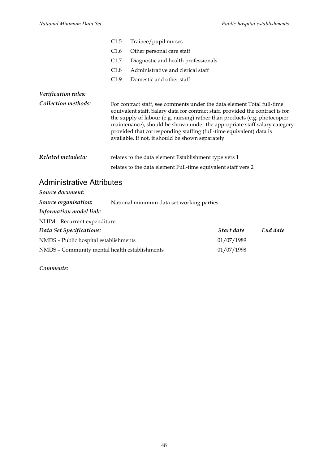|                     | C1.5                                                                                                                                                                                                                                                                                                                                                                                                                                             | Trainee/pupil nurses                                                                                                   |
|---------------------|--------------------------------------------------------------------------------------------------------------------------------------------------------------------------------------------------------------------------------------------------------------------------------------------------------------------------------------------------------------------------------------------------------------------------------------------------|------------------------------------------------------------------------------------------------------------------------|
|                     | C1.6                                                                                                                                                                                                                                                                                                                                                                                                                                             | Other personal care staff                                                                                              |
|                     | C1.7                                                                                                                                                                                                                                                                                                                                                                                                                                             | Diagnostic and health professionals                                                                                    |
|                     | C1.8                                                                                                                                                                                                                                                                                                                                                                                                                                             | Administrative and clerical staff                                                                                      |
|                     | C1.9                                                                                                                                                                                                                                                                                                                                                                                                                                             | Domestic and other staff                                                                                               |
| Verification rules: |                                                                                                                                                                                                                                                                                                                                                                                                                                                  |                                                                                                                        |
| Collection methods: | For contract staff, see comments under the data element Total full-time<br>equivalent staff. Salary data for contract staff, provided the contract is for<br>the supply of labour (e.g. nursing) rather than products (e.g. photocopier<br>maintenance), should be shown under the appropriate staff salary category<br>provided that corresponding staffing (full-time equivalent) data is<br>available. If not, it should be shown separately. |                                                                                                                        |
| Related metadata:   |                                                                                                                                                                                                                                                                                                                                                                                                                                                  | relates to the data element Establishment type vers 1<br>relates to the data element Full-time equivalent staff vers 2 |

## Administrative Attributes

| Source document:                              |                                           |            |          |
|-----------------------------------------------|-------------------------------------------|------------|----------|
| Source organisation:                          | National minimum data set working parties |            |          |
| Information model link:                       |                                           |            |          |
| NHIM Recurrent expenditure                    |                                           |            |          |
| Data Set Specifications:                      |                                           | Start date | End date |
| NMDS - Public hospital establishments         |                                           | 01/07/1989 |          |
| NMDS - Community mental health establishments |                                           | 01/07/1998 |          |
|                                               |                                           |            |          |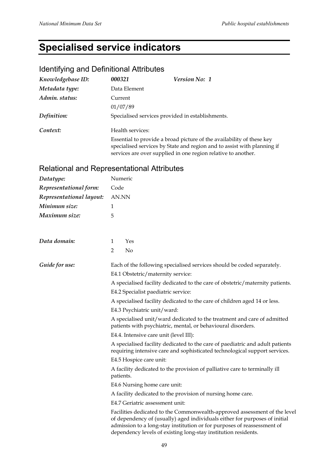# **Specialised service indicators**

## Identifying and Definitional Attributes

| Knowledgebase ID: | 000321           | Version No: 1                                                                                                                                                                                                     |  |
|-------------------|------------------|-------------------------------------------------------------------------------------------------------------------------------------------------------------------------------------------------------------------|--|
| Metadata type:    | Data Element     |                                                                                                                                                                                                                   |  |
| Admin. status:    | Current          |                                                                                                                                                                                                                   |  |
|                   | 01/07/89         |                                                                                                                                                                                                                   |  |
| Definition:       |                  | Specialised services provided in establishments.                                                                                                                                                                  |  |
| Context:          | Health services: |                                                                                                                                                                                                                   |  |
|                   |                  | Essential to provide a broad picture of the availability of these key<br>specialised services by State and region and to assist with planning if<br>services are over supplied in one region relative to another. |  |

## Relational and Representational Attributes

| Datatype:                | Numeric                                                                                                                                                                                                                                                                                              |  |  |
|--------------------------|------------------------------------------------------------------------------------------------------------------------------------------------------------------------------------------------------------------------------------------------------------------------------------------------------|--|--|
| Representational form:   | Code                                                                                                                                                                                                                                                                                                 |  |  |
| Representational layout: | AN.NN                                                                                                                                                                                                                                                                                                |  |  |
| Minimum size:            | 1                                                                                                                                                                                                                                                                                                    |  |  |
| Maximum size:            | 5                                                                                                                                                                                                                                                                                                    |  |  |
| Data domain:             | Yes<br>1                                                                                                                                                                                                                                                                                             |  |  |
|                          | $\overline{2}$<br>No                                                                                                                                                                                                                                                                                 |  |  |
| Guide for use:           | Each of the following specialised services should be coded separately.<br>E4.1 Obstetric/maternity service:                                                                                                                                                                                          |  |  |
|                          | A specialised facility dedicated to the care of obstetric/maternity patients.                                                                                                                                                                                                                        |  |  |
|                          | E4.2 Specialist paediatric service:                                                                                                                                                                                                                                                                  |  |  |
|                          | A specialised facility dedicated to the care of children aged 14 or less.                                                                                                                                                                                                                            |  |  |
|                          | E4.3 Psychiatric unit/ward:                                                                                                                                                                                                                                                                          |  |  |
|                          | A specialised unit/ward dedicated to the treatment and care of admitted<br>patients with psychiatric, mental, or behavioural disorders.                                                                                                                                                              |  |  |
|                          | E4.4. Intensive care unit (level III):                                                                                                                                                                                                                                                               |  |  |
|                          | A specialised facility dedicated to the care of paediatric and adult patients<br>requiring intensive care and sophisticated technological support services.                                                                                                                                          |  |  |
|                          | E4.5 Hospice care unit:                                                                                                                                                                                                                                                                              |  |  |
|                          | A facility dedicated to the provision of palliative care to terminally ill<br>patients.                                                                                                                                                                                                              |  |  |
|                          | E4.6 Nursing home care unit:                                                                                                                                                                                                                                                                         |  |  |
|                          | A facility dedicated to the provision of nursing home care.                                                                                                                                                                                                                                          |  |  |
|                          | E4.7 Geriatric assessment unit:                                                                                                                                                                                                                                                                      |  |  |
|                          | Facilities dedicated to the Commonwealth-approved assessment of the level<br>of dependency of (usually) aged individuals either for purposes of initial<br>admission to a long-stay institution or for purposes of reassessment of<br>dependency levels of existing long-stay institution residents. |  |  |
|                          |                                                                                                                                                                                                                                                                                                      |  |  |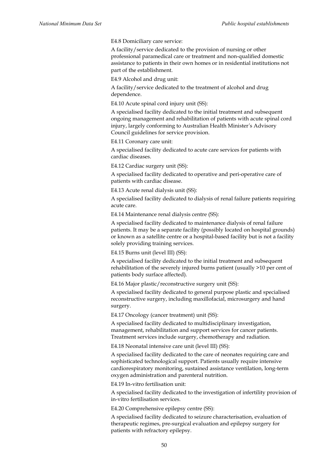E4.8 Domiciliary care service:

A facility/service dedicated to the provision of nursing or other professional paramedical care or treatment and non-qualified domestic assistance to patients in their own homes or in residential institutions not part of the establishment.

E4.9 Alcohol and drug unit:

A facility/service dedicated to the treatment of alcohol and drug dependence.

E4.10 Acute spinal cord injury unit (SS):

A specialised facility dedicated to the initial treatment and subsequent ongoing management and rehabilitation of patients with acute spinal cord injury, largely conforming to Australian Health Minister*'*s Advisory Council guidelines for service provision.

E4.11 Coronary care unit:

A specialised facility dedicated to acute care services for patients with cardiac diseases.

E4.12 Cardiac surgery unit (SS):

A specialised facility dedicated to operative and peri-operative care of patients with cardiac disease.

E4.13 Acute renal dialysis unit (SS):

A specialised facility dedicated to dialysis of renal failure patients requiring acute care.

E4.14 Maintenance renal dialysis centre (SS):

A specialised facility dedicated to maintenance dialysis of renal failure patients. It may be a separate facility (possibly located on hospital grounds) or known as a satellite centre or a hospital-based facility but is not a facility solely providing training services.

E4.15 Burns unit (level III) (SS):

A specialised facility dedicated to the initial treatment and subsequent rehabilitation of the severely injured burns patient (usually >10 per cent of patients body surface affected).

E4.16 Major plastic/reconstructive surgery unit (SS):

A specialised facility dedicated to general purpose plastic and specialised reconstructive surgery, including maxillofacial, microsurgery and hand surgery.

E4.17 Oncology (cancer treatment) unit (SS):

A specialised facility dedicated to multidisciplinary investigation, management, rehabilitation and support services for cancer patients. Treatment services include surgery, chemotherapy and radiation.

E4.18 Neonatal intensive care unit (level III) (SS):

A specialised facility dedicated to the care of neonates requiring care and sophisticated technological support. Patients usually require intensive cardiorespiratory monitoring, sustained assistance ventilation, long-term oxygen administration and parenteral nutrition.

E4.19 In-vitro fertilisation unit:

A specialised facility dedicated to the investigation of infertility provision of in-vitro fertilisation services.

E4.20 Comprehensive epilepsy centre (SS):

A specialised facility dedicated to seizure characterisation, evaluation of therapeutic regimes, pre-surgical evaluation and epilepsy surgery for patients with refractory epilepsy.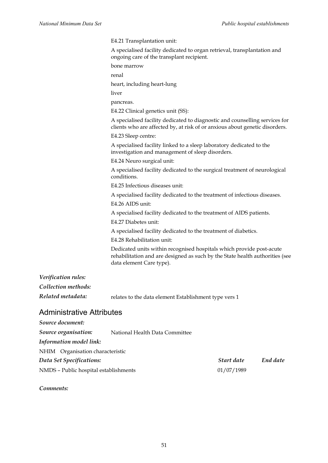E4.21 Transplantation unit:

A specialised facility dedicated to organ retrieval, transplantation and ongoing care of the transplant recipient.

bone marrow

renal

heart, including heart-lung

liver

pancreas.

E4.22 Clinical genetics unit (SS):

A specialised facility dedicated to diagnostic and counselling services for clients who are affected by, at risk of or anxious about genetic disorders.

E4.23 Sleep centre:

A specialised facility linked to a sleep laboratory dedicated to the investigation and management of sleep disorders.

E4.24 Neuro surgical unit:

A specialised facility dedicated to the surgical treatment of neurological conditions.

E4.25 Infectious diseases unit:

A specialised facility dedicated to the treatment of infectious diseases.

E4.26 AIDS unit:

A specialised facility dedicated to the treatment of AIDS patients.

E4.27 Diabetes unit:

A specialised facility dedicated to the treatment of diabetics.

E4.28 Rehabilitation unit:

Dedicated units within recognised hospitals which provide post-acute rehabilitation and are designed as such by the State health authorities (see data element Care type).

## *Verification rules: Collection methods:*

*Related metadata:* relates to the data element Establishment type vers 1

### Administrative Attributes

| Source document:                      |                                |            |          |
|---------------------------------------|--------------------------------|------------|----------|
| Source organisation:                  | National Health Data Committee |            |          |
| Information model link:               |                                |            |          |
| NHIM Organisation characteristic      |                                |            |          |
| Data Set Specifications:              |                                | Start date | End date |
| NMDS - Public hospital establishments |                                | 01/07/1989 |          |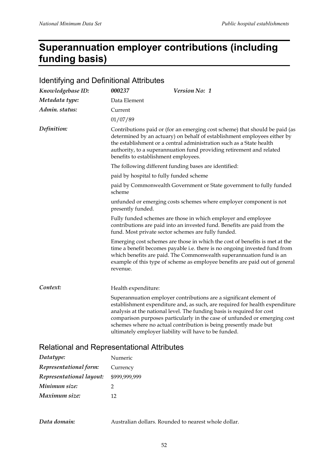# **Superannuation employer contributions (including funding basis)**

| <b>Identifying and Definitional Attributes</b> |                                                                                                                                                                                                                                                                                                                                                 |                                                                                                                                                                                                                                                                                                                                                                                                                                       |  |
|------------------------------------------------|-------------------------------------------------------------------------------------------------------------------------------------------------------------------------------------------------------------------------------------------------------------------------------------------------------------------------------------------------|---------------------------------------------------------------------------------------------------------------------------------------------------------------------------------------------------------------------------------------------------------------------------------------------------------------------------------------------------------------------------------------------------------------------------------------|--|
| Knowledgebase ID:                              | 000237                                                                                                                                                                                                                                                                                                                                          | Version No: 1                                                                                                                                                                                                                                                                                                                                                                                                                         |  |
| Metadata type:                                 | Data Element                                                                                                                                                                                                                                                                                                                                    |                                                                                                                                                                                                                                                                                                                                                                                                                                       |  |
| Admin. status:                                 | Current                                                                                                                                                                                                                                                                                                                                         |                                                                                                                                                                                                                                                                                                                                                                                                                                       |  |
|                                                | 01/07/89                                                                                                                                                                                                                                                                                                                                        |                                                                                                                                                                                                                                                                                                                                                                                                                                       |  |
| Definition:                                    | Contributions paid or (for an emerging cost scheme) that should be paid (as<br>determined by an actuary) on behalf of establishment employees either by<br>the establishment or a central administration such as a State health<br>authority, to a superannuation fund providing retirement and related<br>benefits to establishment employees. |                                                                                                                                                                                                                                                                                                                                                                                                                                       |  |
|                                                |                                                                                                                                                                                                                                                                                                                                                 | The following different funding bases are identified:                                                                                                                                                                                                                                                                                                                                                                                 |  |
|                                                | paid by hospital to fully funded scheme                                                                                                                                                                                                                                                                                                         |                                                                                                                                                                                                                                                                                                                                                                                                                                       |  |
|                                                | paid by Commonwealth Government or State government to fully funded<br>scheme                                                                                                                                                                                                                                                                   |                                                                                                                                                                                                                                                                                                                                                                                                                                       |  |
|                                                | presently funded.                                                                                                                                                                                                                                                                                                                               | unfunded or emerging costs schemes where employer component is not                                                                                                                                                                                                                                                                                                                                                                    |  |
|                                                |                                                                                                                                                                                                                                                                                                                                                 | Fully funded schemes are those in which employer and employee<br>contributions are paid into an invested fund. Benefits are paid from the<br>fund. Most private sector schemes are fully funded.                                                                                                                                                                                                                                      |  |
|                                                | revenue.                                                                                                                                                                                                                                                                                                                                        | Emerging cost schemes are those in which the cost of benefits is met at the<br>time a benefit becomes payable i.e. there is no ongoing invested fund from<br>which benefits are paid. The Commonwealth superannuation fund is an<br>example of this type of scheme as employee benefits are paid out of general                                                                                                                       |  |
| Context:                                       | Health expenditure:                                                                                                                                                                                                                                                                                                                             |                                                                                                                                                                                                                                                                                                                                                                                                                                       |  |
|                                                |                                                                                                                                                                                                                                                                                                                                                 | Superannuation employer contributions are a significant element of<br>establishment expenditure and, as such, are required for health expenditure<br>analysis at the national level. The funding basis is required for cost<br>comparison purposes particularly in the case of unfunded or emerging cost<br>schemes where no actual contribution is being presently made but<br>ultimately employer liability will have to be funded. |  |

### Relational and Representational Attributes

| Datatype:                | Numeric       |
|--------------------------|---------------|
| Representational form:   | Currency      |
| Representational layout: | \$999,999,999 |
| Minimum size:            | 2             |
| Maximum size:            | 12            |

*Data domain:* Australian dollars. Rounded to nearest whole dollar.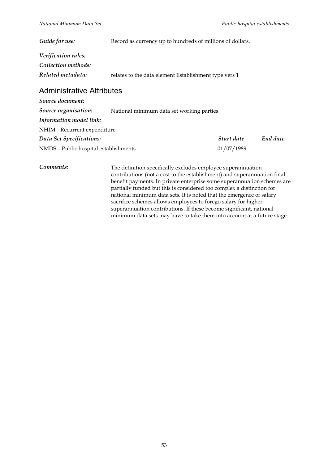| Guide for use:                   | Record as currency up to hundreds of millions of dollars. |  |  |
|----------------------------------|-----------------------------------------------------------|--|--|
| Verification rules:              |                                                           |  |  |
| Collection methods:              |                                                           |  |  |
| Related metadata:                | relates to the data element Establishment type vers 1     |  |  |
| <b>Administrative Attributes</b> |                                                           |  |  |
| Source document:                 |                                                           |  |  |
| Source organisation:             | National minimum data set working parties                 |  |  |

| Information model link:               |            |          |
|---------------------------------------|------------|----------|
| NHIM Recurrent expenditure            |            |          |
| Data Set Specifications:              | Start date | End date |
| NMDS - Public hospital establishments | 01/07/1989 |          |

**Comments:** The definition specifically excludes employee superannuation contributions (not a cost to the establishment) and superannuation final benefit payments. In private enterprise some superannuation schemes are partially funded but this is considered too complex a distinction for national minimum data sets. It is noted that the emergence of salary sacrifice schemes allows employees to forego salary for higher superannuation contributions. If these become significant, national minimum data sets may have to take them into account at a future stage.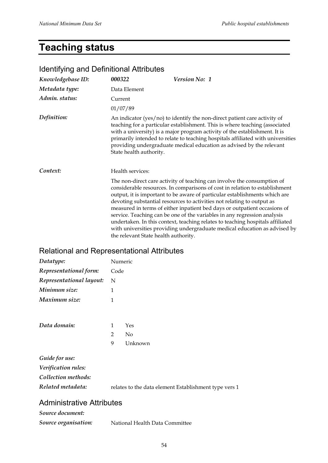# **Teaching status**

| <u>Romany and Dominaonal Aandaloo</u> |                                      |                                                                                                                                                                                                                                                                                                                                                                                                                                                                                                                                                                                                                                        |
|---------------------------------------|--------------------------------------|----------------------------------------------------------------------------------------------------------------------------------------------------------------------------------------------------------------------------------------------------------------------------------------------------------------------------------------------------------------------------------------------------------------------------------------------------------------------------------------------------------------------------------------------------------------------------------------------------------------------------------------|
| Knowledgebase ID:                     | 000322                               | <b>Version No: 1</b>                                                                                                                                                                                                                                                                                                                                                                                                                                                                                                                                                                                                                   |
| Metadata type:                        | Data Element                         |                                                                                                                                                                                                                                                                                                                                                                                                                                                                                                                                                                                                                                        |
| Admin. status:                        | Current                              |                                                                                                                                                                                                                                                                                                                                                                                                                                                                                                                                                                                                                                        |
|                                       | 01/07/89                             |                                                                                                                                                                                                                                                                                                                                                                                                                                                                                                                                                                                                                                        |
| Definition:                           | State health authority.              | An indicator (yes/no) to identify the non-direct patient care activity of<br>teaching for a particular establishment. This is where teaching (associated<br>with a university) is a major program activity of the establishment. It is<br>primarily intended to relate to teaching hospitals affiliated with universities<br>providing undergraduate medical education as advised by the relevant                                                                                                                                                                                                                                      |
| Context:                              | Health services:                     |                                                                                                                                                                                                                                                                                                                                                                                                                                                                                                                                                                                                                                        |
|                                       | the relevant State health authority. | The non-direct care activity of teaching can involve the consumption of<br>considerable resources. In comparisons of cost in relation to establishment<br>output, it is important to be aware of particular establishments which are<br>devoting substantial resources to activities not relating to output as<br>measured in terms of either inpatient bed days or outpatient occasions of<br>service. Teaching can be one of the variables in any regression analysis<br>undertaken. In this context, teaching relates to teaching hospitals affiliated<br>with universities providing undergraduate medical education as advised by |

### Identifying and Definitional Attributes

## Relational and Representational Attributes

| Datatype:                | Numeric        |                |  |
|--------------------------|----------------|----------------|--|
| Representational form:   | Code           |                |  |
| Representational layout: | N              |                |  |
| Minimum size:            | 1              |                |  |
| Maximum size:            | 1              |                |  |
|                          |                |                |  |
| Data domain:             | 1              | Yes            |  |
|                          | $\overline{2}$ | N <sub>0</sub> |  |
|                          | 9              | Unknown        |  |
| Guide for use:           |                |                |  |
| Verification rules:      |                |                |  |
| Collection methods:      |                |                |  |

| Related metadata: | relates to the data element Establishment type vers 1 |
|-------------------|-------------------------------------------------------|
|                   |                                                       |

### Administrative Attributes

*Source document:*

| Source organisation:<br>National Health Data Committee |  |
|--------------------------------------------------------|--|
|--------------------------------------------------------|--|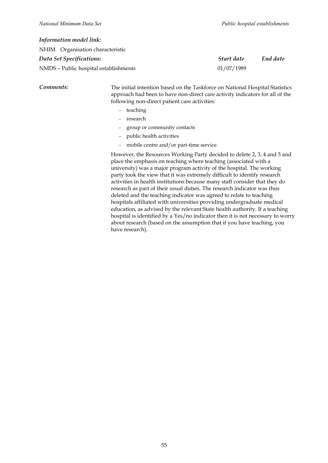### *Information model link:*

| Start date | End date |
|------------|----------|
| 01/07/1989 |          |
|            |          |

*Comments:* The initial intention based on the Taskforce on National Hospital Statistics approach had been to have non-direct care activity indicators for all of the following non-direct patient care activities:

- − teaching
- − research
- − group or community contacts
- − public health activities
- − mobile centre and/or part-time service.

However, the Resources Working Party decided to delete 2, 3, 4 and 5 and place the emphasis on teaching where teaching (associated with a university) was a major program activity of the hospital. The working party took the view that it was extremely difficult to identify research activities in health institutions because many staff consider that they do research as part of their usual duties. The research indicator was thus deleted and the teaching indicator was agreed to relate to teaching hospitals affiliated with universities providing undergraduate medical education, as advised by the relevant State health authority. If a teaching hospital is identified by a Yes/no indicator then it is not necessary to worry about research (based on the assumption that if you have teaching, you have research).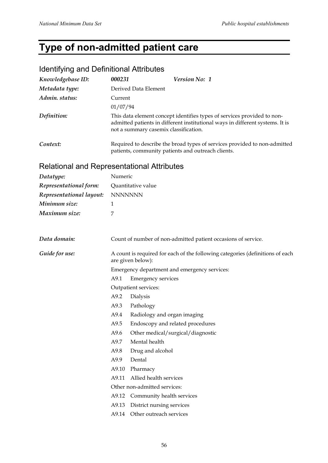# **Type of non-admitted patient care**

## Identifying and Definitional Attributes

| Knowledgebase ID: | 000231               | <i>Version No: 1</i>                                                                                                                                                                              |
|-------------------|----------------------|---------------------------------------------------------------------------------------------------------------------------------------------------------------------------------------------------|
| Metadata type:    | Derived Data Element |                                                                                                                                                                                                   |
| Admin. status:    | Current              |                                                                                                                                                                                                   |
|                   | 01/07/94             |                                                                                                                                                                                                   |
| Definition:       |                      | This data element concept identifies types of services provided to non-<br>admitted patients in different institutional ways in different systems. It is<br>not a summary casemix classification. |
| Context:          |                      | Required to describe the broad types of services provided to non-admitted<br>patients, community patients and outreach clients.                                                                   |

### Relational and Representational Attributes

| Numeric                                                                                            |                                                               |  |  |
|----------------------------------------------------------------------------------------------------|---------------------------------------------------------------|--|--|
| Quantitative value                                                                                 |                                                               |  |  |
| <b>NNNNNNN</b>                                                                                     |                                                               |  |  |
| $\mathbf{1}$                                                                                       |                                                               |  |  |
| 7                                                                                                  |                                                               |  |  |
|                                                                                                    |                                                               |  |  |
|                                                                                                    | Count of number of non-admitted patient occasions of service. |  |  |
| A count is required for each of the following categories (definitions of each<br>are given below): |                                                               |  |  |
|                                                                                                    | Emergency department and emergency services:                  |  |  |
| A9.1                                                                                               | <b>Emergency services</b>                                     |  |  |
| Outpatient services:                                                                               |                                                               |  |  |
| A9.2                                                                                               | Dialysis                                                      |  |  |
| A9.3                                                                                               | Pathology                                                     |  |  |
| A9.4                                                                                               | Radiology and organ imaging                                   |  |  |
| A9.5                                                                                               | Endoscopy and related procedures                              |  |  |
| A9.6                                                                                               | Other medical/surgical/diagnostic                             |  |  |
| A9.7                                                                                               | Mental health                                                 |  |  |
| A9.8                                                                                               | Drug and alcohol                                              |  |  |
| A9.9                                                                                               | Dental                                                        |  |  |
| A9.10                                                                                              | Pharmacy                                                      |  |  |
| A9.11                                                                                              | Allied health services                                        |  |  |
|                                                                                                    | Other non-admitted services:                                  |  |  |
| A9.12                                                                                              | Community health services                                     |  |  |
| A9.13                                                                                              | District nursing services                                     |  |  |
|                                                                                                    | A9.14 Other outreach services                                 |  |  |
|                                                                                                    |                                                               |  |  |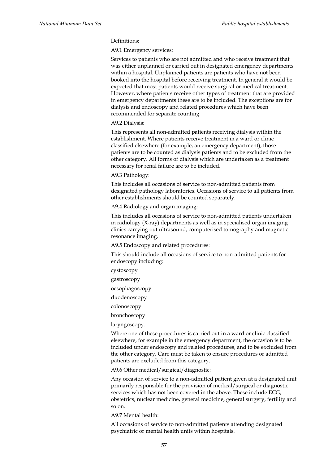### Definitions:

A9.1 Emergency services:

Services to patients who are not admitted and who receive treatment that was either unplanned or carried out in designated emergency departments within a hospital. Unplanned patients are patients who have not been booked into the hospital before receiving treatment. In general it would be expected that most patients would receive surgical or medical treatment. However, where patients receive other types of treatment that are provided in emergency departments these are to be included. The exceptions are for dialysis and endoscopy and related procedures which have been recommended for separate counting.

### A9.2 Dialysis:

This represents all non-admitted patients receiving dialysis within the establishment. Where patients receive treatment in a ward or clinic classified elsewhere (for example, an emergency department), those patients are to be counted as dialysis patients and to be excluded from the other category. All forms of dialysis which are undertaken as a treatment necessary for renal failure are to be included.

### A9.3 Pathology:

This includes all occasions of service to non-admitted patients from designated pathology laboratories. Occasions of service to all patients from other establishments should be counted separately.

### A9.4 Radiology and organ imaging:

This includes all occasions of service to non-admitted patients undertaken in radiology (X-ray) departments as well as in specialised organ imaging clinics carrying out ultrasound, computerised tomography and magnetic resonance imaging.

A9.5 Endoscopy and related procedures:

This should include all occasions of service to non-admitted patients for endoscopy including:

cystoscopy

gastroscopy

oesophagoscopy

duodenoscopy

colonoscopy

bronchoscopy

laryngoscopy.

Where one of these procedures is carried out in a ward or clinic classified elsewhere, for example in the emergency department, the occasion is to be included under endoscopy and related procedures, and to be excluded from the other category. Care must be taken to ensure procedures or admitted patients are excluded from this category.

A9.6 Other medical/surgical/diagnostic:

Any occasion of service to a non-admitted patient given at a designated unit primarily responsible for the provision of medical/surgical or diagnostic services which has not been covered in the above. These include ECG, obstetrics, nuclear medicine, general medicine, general surgery, fertility and so on.

A9.7 Mental health:

All occasions of service to non-admitted patients attending designated psychiatric or mental health units within hospitals.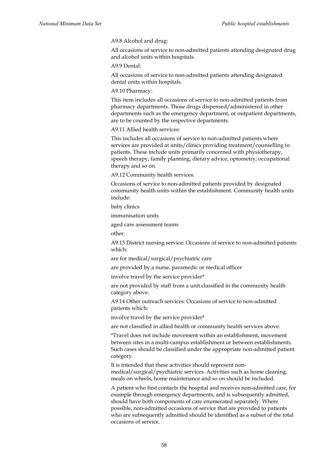A9.8 Alcohol and drug:

All occasions of service to non-admitted patients attending designated drug and alcohol units within hospitals.

A9.9 Dental:

All occasions of service to non-admitted patients attending designated dental units within hospitals.

A9.10 Pharmacy:

This item includes all occasions of service to non-admitted patients from pharmacy departments. Those drugs dispensed/administered in other departments such as the emergency department, or outpatient departments, are to be counted by the respective departments.

A9.11 Allied health services:

This includes all occasions of service to non-admitted patients where services are provided at units/clinics providing treatment/counselling to patients. These include units primarily concerned with physiotherapy, speech therapy, family planning, dietary advice, optometry, occupational therapy and so on.

A9.12 Community health services:

Occasions of service to non-admitted patients provided by designated community health units within the establishment. Community health units include:

baby clinics

immunisation units

aged care assessment teams

other.

A9.13 District nursing service: Occasions of service to non-admitted patients which:

are for medical/surgical/psychiatric care

are provided by a nurse, paramedic or medical officer

involve travel by the service provider\*

are not provided by staff from a unit classified in the community health category above.

A9.14 Other outreach services: Occasions of service to non-admitted patients which:

involve travel by the service provider\*

are not classified in allied health or community health services above.

\*Travel does not include movement within an establishment, movement between sites in a multi-campus establishment or between establishments. Such cases should be classified under the appropriate non-admitted patient category.

It is intended that these activities should represent nonmedical/surgical/psychiatric services. Activities such as home cleaning, meals on wheels, home maintenance and so on should be included.

A patient who first contacts the hospital and receives non-admitted care, for example through emergency departments, and is subsequently admitted, should have both components of care enumerated separately. Where possible, non-admitted occasions of service that are provided to patients who are subsequently admitted should be identified as a subset of the total occasions of service.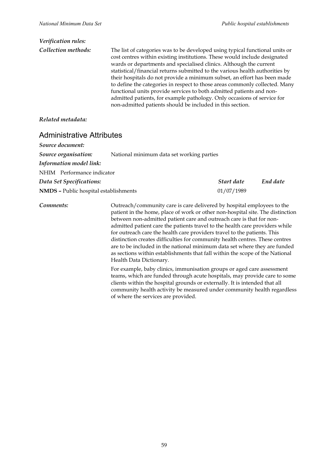| Verification rules: |                                                                                                                                                                                                                                                                                                                                                                                                                                                                                                                                                                                                                                                                                            |
|---------------------|--------------------------------------------------------------------------------------------------------------------------------------------------------------------------------------------------------------------------------------------------------------------------------------------------------------------------------------------------------------------------------------------------------------------------------------------------------------------------------------------------------------------------------------------------------------------------------------------------------------------------------------------------------------------------------------------|
| Collection methods: | The list of categories was to be developed using typical functional units or<br>cost centres within existing institutions. These would include designated<br>wards or departments and specialised clinics. Although the current<br>statistical/financial returns submitted to the various health authorities by<br>their hospitals do not provide a minimum subset, an effort has been made<br>to define the categories in respect to those areas commonly collected. Many<br>functional units provide services to both admitted patients and non-<br>admitted patients, for example pathology. Only occasions of service for<br>non-admitted patients should be included in this section. |

### *Related metadata:*

### Administrative Attributes

| Source document:                                                  |            |          |
|-------------------------------------------------------------------|------------|----------|
| Source organisation:<br>National minimum data set working parties |            |          |
| Information model link:                                           |            |          |
| NHIM Performance indicator                                        |            |          |
| Data Set Specifications:                                          | Start date | End date |
| <b>NMDS</b> - Public hospital establishments                      | 01/07/1989 |          |

**Comments:** Outreach/community care is care delivered by hospital employees to the patient in the home, place of work or other non-hospital site. The distinction between non-admitted patient care and outreach care is that for nonadmitted patient care the patients travel to the health care providers while for outreach care the health care providers travel to the patients. This distinction creates difficulties for community health centres. These centres are to be included in the national minimum data set where they are funded as sections within establishments that fall within the scope of the National Health Data Dictionary.

> For example, baby clinics, immunisation groups or aged care assessment teams, which are funded through acute hospitals, may provide care to some clients within the hospital grounds or externally. It is intended that all community health activity be measured under community health regardless of where the services are provided.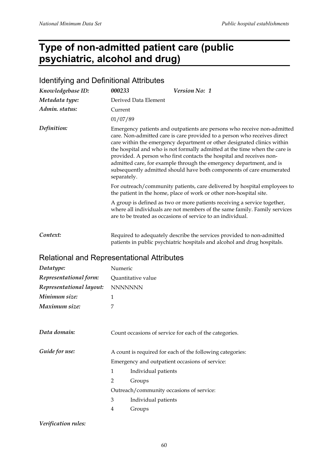# **Type of non-admitted patient care (public psychiatric, alcohol and drug)**

| <b>Identifying and Definitional Attributes</b>    |                                                                                                                                                   |                                                                                                                                                                                                                                                                                                                                                                                                                                                                                                                                     |  |  |
|---------------------------------------------------|---------------------------------------------------------------------------------------------------------------------------------------------------|-------------------------------------------------------------------------------------------------------------------------------------------------------------------------------------------------------------------------------------------------------------------------------------------------------------------------------------------------------------------------------------------------------------------------------------------------------------------------------------------------------------------------------------|--|--|
| Knowledgebase ID:                                 | 000233<br>Version No: 1                                                                                                                           |                                                                                                                                                                                                                                                                                                                                                                                                                                                                                                                                     |  |  |
| Metadata type:                                    | Derived Data Element                                                                                                                              |                                                                                                                                                                                                                                                                                                                                                                                                                                                                                                                                     |  |  |
| Admin. status:                                    | Current                                                                                                                                           |                                                                                                                                                                                                                                                                                                                                                                                                                                                                                                                                     |  |  |
|                                                   | 01/07/89                                                                                                                                          |                                                                                                                                                                                                                                                                                                                                                                                                                                                                                                                                     |  |  |
| Definition:                                       | separately.                                                                                                                                       | Emergency patients and outpatients are persons who receive non-admitted<br>care. Non-admitted care is care provided to a person who receives direct<br>care within the emergency department or other designated clinics within<br>the hospital and who is not formally admitted at the time when the care is<br>provided. A person who first contacts the hospital and receives non-<br>admitted care, for example through the emergency department, and is<br>subsequently admitted should have both components of care enumerated |  |  |
|                                                   | For outreach/community patients, care delivered by hospital employees to<br>the patient in the home, place of work or other non-hospital site.    |                                                                                                                                                                                                                                                                                                                                                                                                                                                                                                                                     |  |  |
|                                                   |                                                                                                                                                   | A group is defined as two or more patients receiving a service together,<br>where all individuals are not members of the same family. Family services<br>are to be treated as occasions of service to an individual.                                                                                                                                                                                                                                                                                                                |  |  |
| Context:                                          | Required to adequately describe the services provided to non-admitted<br>patients in public psychiatric hospitals and alcohol and drug hospitals. |                                                                                                                                                                                                                                                                                                                                                                                                                                                                                                                                     |  |  |
| <b>Relational and Representational Attributes</b> |                                                                                                                                                   |                                                                                                                                                                                                                                                                                                                                                                                                                                                                                                                                     |  |  |
| Datatype:                                         | Numeric                                                                                                                                           |                                                                                                                                                                                                                                                                                                                                                                                                                                                                                                                                     |  |  |
| Representational form:                            | Quantitative value                                                                                                                                |                                                                                                                                                                                                                                                                                                                                                                                                                                                                                                                                     |  |  |
| Representational layout:                          | <b>NNNNNNN</b>                                                                                                                                    |                                                                                                                                                                                                                                                                                                                                                                                                                                                                                                                                     |  |  |
| Minimum size:                                     | 1                                                                                                                                                 |                                                                                                                                                                                                                                                                                                                                                                                                                                                                                                                                     |  |  |
| Maximum size:                                     | 7                                                                                                                                                 |                                                                                                                                                                                                                                                                                                                                                                                                                                                                                                                                     |  |  |
| Data domain:                                      |                                                                                                                                                   | Count occasions of service for each of the categories.                                                                                                                                                                                                                                                                                                                                                                                                                                                                              |  |  |
| Guide for use:                                    | A count is required for each of the following categories:                                                                                         |                                                                                                                                                                                                                                                                                                                                                                                                                                                                                                                                     |  |  |
|                                                   | Emergency and outpatient occasions of service:                                                                                                    |                                                                                                                                                                                                                                                                                                                                                                                                                                                                                                                                     |  |  |
|                                                   | 1<br>Individual patients                                                                                                                          |                                                                                                                                                                                                                                                                                                                                                                                                                                                                                                                                     |  |  |
|                                                   | 2<br>Groups                                                                                                                                       |                                                                                                                                                                                                                                                                                                                                                                                                                                                                                                                                     |  |  |
|                                                   | Outreach/community occasions of service:                                                                                                          |                                                                                                                                                                                                                                                                                                                                                                                                                                                                                                                                     |  |  |
|                                                   | Individual patients<br>3                                                                                                                          |                                                                                                                                                                                                                                                                                                                                                                                                                                                                                                                                     |  |  |

4 Groups

### *Verification rules:*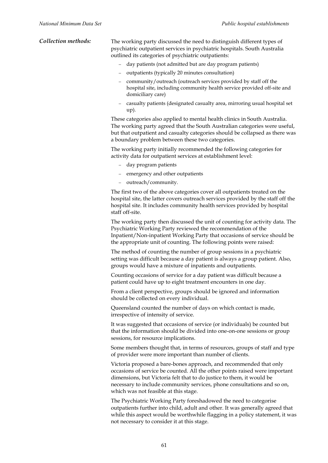| Collection methods: | The working party discussed the need to distinguish different types of    |
|---------------------|---------------------------------------------------------------------------|
|                     | psychiatric outpatient services in psychiatric hospitals. South Australia |
|                     | outlined its categories of psychiatric outpatients:                       |

- − day patients (not admitted but are day program patients)
- − outpatients (typically 20 minutes consultation)
- − community/outreach (outreach services provided by staff off the hospital site, including community health service provided off-site and domiciliary care)
- − casualty patients (designated casualty area, mirroring usual hospital set up).

These categories also applied to mental health clinics in South Australia. The working party agreed that the South Australian categories were useful, but that outpatient and casualty categories should be collapsed as there was a boundary problem between these two categories.

The working party initially recommended the following categories for activity data for outpatient services at establishment level:

- − day program patients
- − emergency and other outpatients
- − outreach/community.

The first two of the above categories cover all outpatients treated on the hospital site, the latter covers outreach services provided by the staff off the hospital site. It includes community health services provided by hospital staff off-site.

The working party then discussed the unit of counting for activity data. The Psychiatric Working Party reviewed the recommendation of the Inpatient/Non-inpatient Working Party that occasions of service should be the appropriate unit of counting. The following points were raised:

The method of counting the number of group sessions in a psychiatric setting was difficult because a day patient is always a group patient. Also, groups would have a mixture of inpatients and outpatients.

Counting occasions of service for a day patient was difficult because a patient could have up to eight treatment encounters in one day.

From a client perspective, groups should be ignored and information should be collected on every individual.

Queensland counted the number of days on which contact is made, irrespective of intensity of service.

It was suggested that occasions of service (or individuals) be counted but that the information should be divided into one-on-one sessions or group sessions, for resource implications.

Some members thought that, in terms of resources, groups of staff and type of provider were more important than number of clients.

Victoria proposed a bare-bones approach, and recommended that only occasions of service be counted. All the other points raised were important dimensions, but Victoria felt that to do justice to them, it would be necessary to include community services, phone consultations and so on, which was not feasible at this stage.

The Psychiatric Working Party foreshadowed the need to categorise outpatients further into child, adult and other. It was generally agreed that while this aspect would be worthwhile flagging in a policy statement, it was not necessary to consider it at this stage.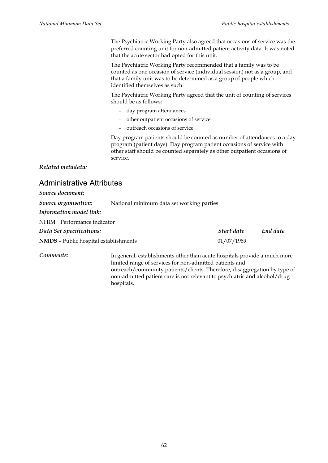The Psychiatric Working Party also agreed that occasions of service was the preferred counting unit for non-admitted patient activity data. It was noted that the acute sector had opted for this unit.

The Psychiatric Working Party recommended that a family was to be counted as one occasion of service (individual session) not as a group, and that a family unit was to be determined as a group of people which identified themselves as such.

The Psychiatric Working Party agreed that the unit of counting of services should be as follows:

- − day program attendances
- − other outpatient occasions of service
- − outreach occasions of service.

Day program patients should be counted as number of attendances to a day program (patient days). Day program patient occasions of service with other staff should be counted separately as other outpatient occasions of service.

*Related metadata:*

### Administrative Attributes

| Source document:                             |                                                                                                                                                                                                                                                                                                |            |          |
|----------------------------------------------|------------------------------------------------------------------------------------------------------------------------------------------------------------------------------------------------------------------------------------------------------------------------------------------------|------------|----------|
| Source organisation:                         | National minimum data set working parties                                                                                                                                                                                                                                                      |            |          |
| Information model link:                      |                                                                                                                                                                                                                                                                                                |            |          |
| NHIM Performance indicator                   |                                                                                                                                                                                                                                                                                                |            |          |
| Data Set Specifications:                     |                                                                                                                                                                                                                                                                                                | Start date | End date |
| <b>NMDS</b> - Public hospital establishments |                                                                                                                                                                                                                                                                                                | 01/07/1989 |          |
| Comments:                                    | In general, establishments other than acute hospitals provide a much more<br>limited range of services for non-admitted patients and<br>outreach/community patients/clients. Therefore, disaggregation by type of<br>non-admitted patient care is not relevant to psychiatric and alcohol/drug |            |          |

hospitals.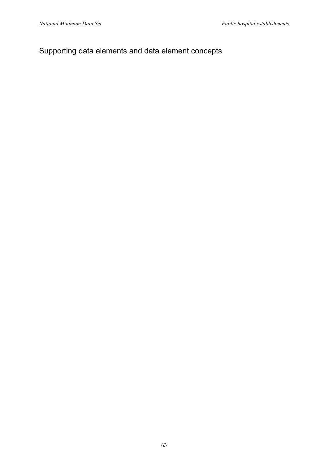## Supporting data elements and data element concepts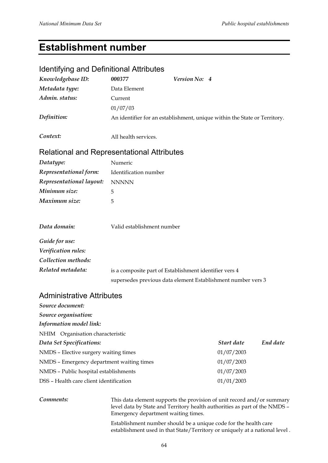# **Establishment number**

### Identifying and Definitional Attributes

| Knowledgebase ID:                                 | 000377                     | Version No: 4                                                             |
|---------------------------------------------------|----------------------------|---------------------------------------------------------------------------|
| Metadata type:                                    | Data Element               |                                                                           |
| Admin. status:                                    | Current                    |                                                                           |
|                                                   | 01/07/03                   |                                                                           |
| Definition:                                       |                            | An identifier for an establishment, unique within the State or Territory. |
| Context:                                          | All health services.       |                                                                           |
| <b>Relational and Representational Attributes</b> |                            |                                                                           |
| Datatype:                                         | Numeric                    |                                                                           |
| Representational form:                            | Identification number      |                                                                           |
| Representational layout:                          | <b>NNNNN</b>               |                                                                           |
| Minimum size:                                     | 5                          |                                                                           |
| Maximum size:                                     | 5                          |                                                                           |
| Data domain:                                      | Valid establishment number |                                                                           |
| Guide for use:                                    |                            |                                                                           |
| Verification rules:                               |                            |                                                                           |
| Collection methods:                               |                            |                                                                           |
| Related metadata:                                 |                            | is a composite part of Establishment identifier vers 4                    |
|                                                   |                            | supersedes previous data element Establishment number vers 3              |
| <b>Administrative Attributes</b>                  |                            |                                                                           |

### *Source document: Source organisation: Information model link:* NHIM Organisation characteristic *Data Set Specifications: Start date End date* NMDS – Elective surgery waiting times 01/07/2003 NMDS – Emergency department waiting times 01/07/2003 NMDS – Public hospital establishments 01/07/2003 DSS – Health care client identification 01/01/2003

*Comments:* This data element supports the provision of unit record and/or summary level data by State and Territory health authorities as part of the NMDS – Emergency department waiting times.

> Establishment number should be a unique code for the health care establishment used in that State/Territory or uniquely at a national level .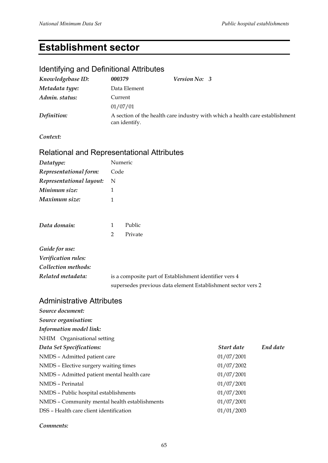# **Establishment sector**

### Identifying and Definitional Attributes

| Knowledgebase ID: | 000379        | Version No: 3 |                                                                              |
|-------------------|---------------|---------------|------------------------------------------------------------------------------|
| Metadata type:    | Data Element  |               |                                                                              |
| Admin. status:    | Current       |               |                                                                              |
|                   | 01/07/01      |               |                                                                              |
| Definition:       | can identify. |               | A section of the health care industry with which a health care establishment |

*Context:*

### Relational and Representational Attributes

| Datatype:                | Numeric                                                      |
|--------------------------|--------------------------------------------------------------|
| Representational form:   | Code                                                         |
| Representational layout: | N                                                            |
| Minimum size:            | 1                                                            |
| Maximum size:            | 1                                                            |
|                          |                                                              |
| Data domain:             | Public<br>$\mathbf{1}$                                       |
|                          | $\mathcal{P}$<br>Private                                     |
| Guide for use:           |                                                              |
| Verification rules:      |                                                              |
| Collection methods:      |                                                              |
| Related metadata:        | is a composite part of Establishment identifier vers 4       |
|                          | supersedes previous data element Establishment sector vers 2 |

### Administrative Attributes

| Source document:                              |            |          |
|-----------------------------------------------|------------|----------|
| Source organisation:                          |            |          |
| Information model link:                       |            |          |
| NHIM Organisational setting                   |            |          |
| Data Set Specifications:                      | Start date | End date |
| NMDS - Admitted patient care                  | 01/07/2001 |          |
| NMDS - Elective surgery waiting times         | 01/07/2002 |          |
| NMDS - Admitted patient mental health care    | 01/07/2001 |          |
| NMDS - Perinatal                              | 01/07/2001 |          |
| NMDS - Public hospital establishments         | 01/07/2001 |          |
| NMDS - Community mental health establishments | 01/07/2001 |          |
| DSS – Health care client identification       | 01/01/2003 |          |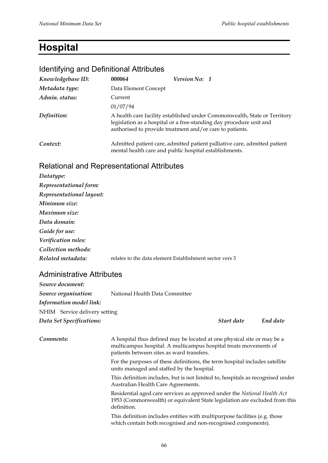# **Hospital**

### Identifying and Definitional Attributes

| Knowledgebase ID: | 000064               | Version No: 1                                                                                                                                                                                                |  |  |
|-------------------|----------------------|--------------------------------------------------------------------------------------------------------------------------------------------------------------------------------------------------------------|--|--|
| Metadata type:    | Data Element Concept |                                                                                                                                                                                                              |  |  |
| Admin. status:    | Current              |                                                                                                                                                                                                              |  |  |
|                   | 01/07/94             |                                                                                                                                                                                                              |  |  |
| Definition:       |                      | A health care facility established under Commonwealth, State or Territory<br>legislation as a hospital or a free-standing day procedure unit and<br>authorised to provide treatment and/or care to patients. |  |  |
| Context:          |                      | Admitted patient care, admitted patient palliative care, admitted patient<br>mental health care and public hospital establishments.                                                                          |  |  |

### Relational and Representational Attributes

| Datatype:                |                                                         |
|--------------------------|---------------------------------------------------------|
| Representational form:   |                                                         |
| Representational layout: |                                                         |
| Minimum size:            |                                                         |
| Maximum size:            |                                                         |
| Data domain:             |                                                         |
| Guide for use:           |                                                         |
| Verification rules:      |                                                         |
| Collection methods:      |                                                         |
| Related metadata:        | relates to the data element Establishment sector vers 3 |

### Administrative Attributes

| Source document:              |                                                                                                                                                                                          |            |          |
|-------------------------------|------------------------------------------------------------------------------------------------------------------------------------------------------------------------------------------|------------|----------|
| Source organisation:          | National Health Data Committee                                                                                                                                                           |            |          |
| Information model link:       |                                                                                                                                                                                          |            |          |
| NHIM Service delivery setting |                                                                                                                                                                                          |            |          |
| Data Set Specifications:      |                                                                                                                                                                                          | Start date | End date |
| Comments:                     | A hospital thus defined may be located at one physical site or may be a<br>multicampus hospital. A multicampus hospital treats movements of<br>patients between sites as ward transfers. |            |          |
|                               | For the purposes of these definitions, the term hospital includes satellite<br>units managed and staffed by the hospital.                                                                |            |          |
|                               | This definition includes, but is not limited to, hospitals as recognised under<br>Australian Health Care Agreements.                                                                     |            |          |
|                               | Residential aged care services as approved under the National Health Act<br>$\sim$ 1.1 $\sim$ $\sim$ 1 $\sim$ 1 $\sim$ 1 $\sim$ 1 $\sim$                                                 |            |          |

1953 (Commonwealth) or equivalent State legislation are excluded from this definition.

This definition includes entities with multipurpose facilities (e.g. those which contain both recognised and non-recognised components).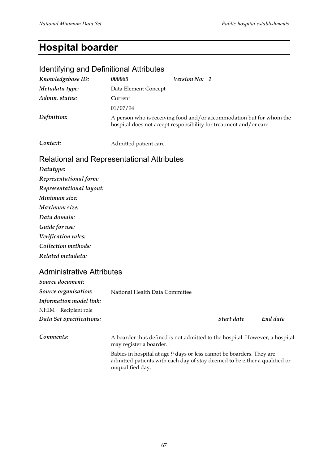# **Hospital boarder**

### Identifying and Definitional Attributes

| Knowledgebase ID: | 000065                                                                                                                                     | Version No: 1 |  |
|-------------------|--------------------------------------------------------------------------------------------------------------------------------------------|---------------|--|
| Metadata type:    | Data Element Concept                                                                                                                       |               |  |
| Admin. status:    | Current                                                                                                                                    |               |  |
|                   | 01/07/94                                                                                                                                   |               |  |
| Definition:       | A person who is receiving food and/or accommodation but for whom the<br>hospital does not accept responsibility for treatment and/or care. |               |  |

**Context:** Admitted patient care.

### Relational and Representational Attributes

*Datatype: Representational form: Representational layout: Minimum size: Maximum size: Data domain: Guide for use: Verification rules: Collection methods: Related metadata:*

### Administrative Attributes

| Source document:         |                                                                                                        |            |          |
|--------------------------|--------------------------------------------------------------------------------------------------------|------------|----------|
| Source organisation:     | National Health Data Committee                                                                         |            |          |
| Information model link:  |                                                                                                        |            |          |
| NHIM Recipient role      |                                                                                                        |            |          |
| Data Set Specifications: |                                                                                                        | Start date | End date |
| Comments:                | A boarder thus defined is not admitted to the hospital. However, a hospital<br>may register a boarder. |            |          |
|                          | Delaise in homital at a so 0 days on loss assumet he homedone. These are                               |            |          |

Babies in hospital at age 9 days or less cannot be boarders. They are admitted patients with each day of stay deemed to be either a qualified or unqualified day.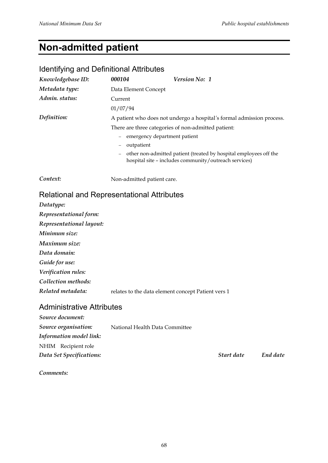# **Non-admitted patient**

## Identifying and Definitional Attributes

| Knowledgebase ID:                                 | 000104                                                                                                                     | <i>Version No: 1</i>                                                  |  |
|---------------------------------------------------|----------------------------------------------------------------------------------------------------------------------------|-----------------------------------------------------------------------|--|
| Metadata type:                                    | Data Element Concept                                                                                                       |                                                                       |  |
| Admin. status:                                    | Current                                                                                                                    |                                                                       |  |
|                                                   | 01/07/94                                                                                                                   |                                                                       |  |
| Definition:                                       |                                                                                                                            | A patient who does not undergo a hospital's formal admission process. |  |
|                                                   |                                                                                                                            | There are three categories of non-admitted patient:                   |  |
|                                                   |                                                                                                                            | emergency department patient                                          |  |
|                                                   | outpatient                                                                                                                 |                                                                       |  |
|                                                   | other non-admitted patient (treated by hospital employees off the<br>hospital site - includes community/outreach services) |                                                                       |  |
| Context:                                          | Non-admitted patient care.                                                                                                 |                                                                       |  |
| <b>Relational and Representational Attributes</b> |                                                                                                                            |                                                                       |  |

| Datatype:                |                                                    |
|--------------------------|----------------------------------------------------|
| Representational form:   |                                                    |
| Representational layout: |                                                    |
| Minimum size:            |                                                    |
| Maximum size:            |                                                    |
| Data domain:             |                                                    |
| Guide for use:           |                                                    |
| Verification rules:      |                                                    |
| Collection methods:      |                                                    |
| Related metadata:        | relates to the data element concept Patient vers 1 |

### Administrative Attributes

| Source document:         |                                |            |          |
|--------------------------|--------------------------------|------------|----------|
| Source organisation:     | National Health Data Committee |            |          |
| Information model link:  |                                |            |          |
| NHIM Recipient role      |                                |            |          |
| Data Set Specifications: |                                | Start date | End date |
|                          |                                |            |          |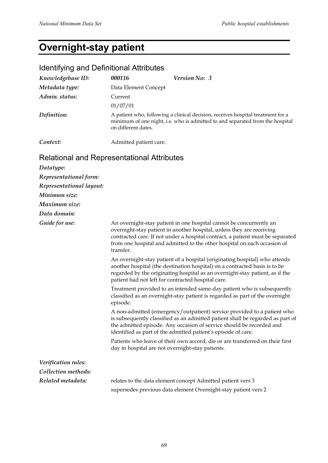# **Overnight-stay patient**

## Identifying and Definitional Attributes

| Knowledgebase ID: | 000116                                                                                                                                                                                  | <i>Version No: 3</i> |  |
|-------------------|-----------------------------------------------------------------------------------------------------------------------------------------------------------------------------------------|----------------------|--|
| Metadata type:    | Data Element Concept                                                                                                                                                                    |                      |  |
| Admin. status:    | Current                                                                                                                                                                                 |                      |  |
|                   | 01/07/01                                                                                                                                                                                |                      |  |
| Definition:       | A patient who, following a clinical decision, receives hospital treatment for a<br>minimum of one night, i.e. who is admitted to and separated from the hospital<br>on different dates. |                      |  |
| Context:          | Admitted patient care.                                                                                                                                                                  |                      |  |

## Relational and Representational Attributes

| Datatype:                |                                                                                                                                                                                                                                                                                                                         |
|--------------------------|-------------------------------------------------------------------------------------------------------------------------------------------------------------------------------------------------------------------------------------------------------------------------------------------------------------------------|
| Representational form:   |                                                                                                                                                                                                                                                                                                                         |
| Representational layout: |                                                                                                                                                                                                                                                                                                                         |
| Minimum size:            |                                                                                                                                                                                                                                                                                                                         |
| Maximum size:            |                                                                                                                                                                                                                                                                                                                         |
| Data domain:             |                                                                                                                                                                                                                                                                                                                         |
| Guide for use:           | An overnight-stay patient in one hospital cannot be concurrently an<br>overnight-stay patient in another hospital, unless they are receiving<br>contracted care. If not under a hospital contract, a patient must be separated<br>from one hospital and admitted to the other hospital on each occasion of<br>transfer. |
|                          | An overnight-stay patient of a hospital (originating hospital) who attends<br>another hospital (the destination hospital) on a contracted basis is to be<br>regarded by the originating hospital as an overnight-stay patient, as if the<br>patient had not left for contracted hospital care.                          |
|                          | Treatment provided to an intended same-day patient who is subsequently<br>classified as an overnight-stay patient is regarded as part of the overnight<br>episode.                                                                                                                                                      |
|                          | A non-admitted (emergency/outpatient) service provided to a patient who<br>is subsequently classified as an admitted patient shall be regarded as part of<br>the admitted episode. Any occasion of service should be recorded and<br>identified as part of the admitted patient's episode of care.                      |
|                          | Patients who leave of their own accord, die or are transferred on their first<br>day in hospital are not overnight-stay patients.                                                                                                                                                                                       |
| Verification rules:      |                                                                                                                                                                                                                                                                                                                         |
| Collection methods:      |                                                                                                                                                                                                                                                                                                                         |
| Related metadata:        | relates to the data element concept Admitted patient vers 3                                                                                                                                                                                                                                                             |

supersedes previous data element Overnight-stay patient vers 2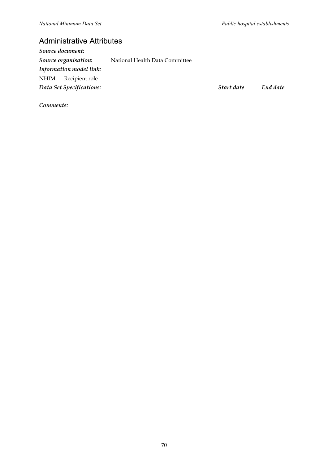## Administrative Attributes

| Source document: |                          |                                |            |          |
|------------------|--------------------------|--------------------------------|------------|----------|
|                  | Source organisation:     | National Health Data Committee |            |          |
|                  | Information model link:  |                                |            |          |
|                  | NHIM Recipient role      |                                |            |          |
|                  | Data Set Specifications: |                                | Start date | End date |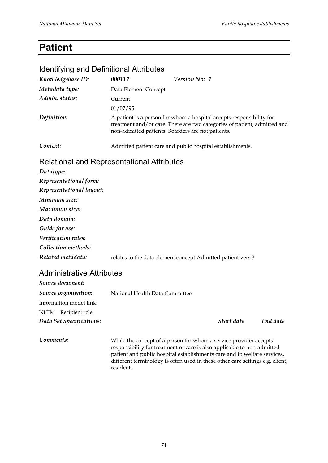# **Patient**

### Identifying and Definitional Attributes

| Knowledgebase ID:                                 | 000117                                            | Version No: 1                                                                                                                                    |
|---------------------------------------------------|---------------------------------------------------|--------------------------------------------------------------------------------------------------------------------------------------------------|
| Metadata type:                                    | Data Element Concept                              |                                                                                                                                                  |
| Admin. status:                                    | Current                                           |                                                                                                                                                  |
|                                                   | 01/07/95                                          |                                                                                                                                                  |
| Definition:                                       | non-admitted patients. Boarders are not patients. | A patient is a person for whom a hospital accepts responsibility for<br>treatment and/or care. There are two categories of patient, admitted and |
| Context:                                          |                                                   | Admitted patient care and public hospital establishments.                                                                                        |
| <b>Relational and Representational Attributes</b> |                                                   |                                                                                                                                                  |
| Datatype:                                         |                                                   |                                                                                                                                                  |
| Representational form:                            |                                                   |                                                                                                                                                  |
| Representational layout:                          |                                                   |                                                                                                                                                  |
| Minimum size:                                     |                                                   |                                                                                                                                                  |
| Maximum size:                                     |                                                   |                                                                                                                                                  |
| Data domain:                                      |                                                   |                                                                                                                                                  |
| Guide for use:                                    |                                                   |                                                                                                                                                  |
| Verification rules:                               |                                                   |                                                                                                                                                  |
| Collection methods:                               |                                                   |                                                                                                                                                  |
| Related metadata:                                 |                                                   | relates to the data element concept Admitted patient vers 3                                                                                      |
|                                                   |                                                   |                                                                                                                                                  |

### Administrative Attributes

| Source document:         |                                                                                                                                              |
|--------------------------|----------------------------------------------------------------------------------------------------------------------------------------------|
| Source organisation:     | National Health Data Committee                                                                                                               |
| Information model link:  |                                                                                                                                              |
| Recipient role<br>NHIM   |                                                                                                                                              |
| Data Set Specifications: | End date<br>Start date                                                                                                                       |
| Comments:                | While the concept of a person for whom a service provider accepts<br>responsibility for treatment or care is also applicable to non-admitted |

patient and public hospital establishments care and to welfare services, different terminology is often used in these other care settings e.g. client, resident.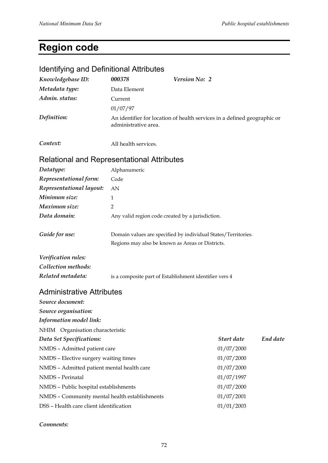# **Region code**

### Identifying and Definitional Attributes

| Knowledgebase ID: | 000378               | <i>Version No: 2</i>                                                     |
|-------------------|----------------------|--------------------------------------------------------------------------|
| Metadata type:    | Data Element         |                                                                          |
| Admin. status:    | Current              |                                                                          |
|                   | 01/07/97             |                                                                          |
| Definition:       | administrative area. | An identifier for location of health services in a defined geographic or |
|                   |                      |                                                                          |

*Context:* All health services.

### Relational and Representational Attributes

| Datatype:                | Alphanumeric                                                                                                      |
|--------------------------|-------------------------------------------------------------------------------------------------------------------|
| Representational form:   | Code                                                                                                              |
| Representational layout: | AN                                                                                                                |
| Minimum size:            | 1                                                                                                                 |
| Maximum size:            | 2                                                                                                                 |
| Data domain:             | Any valid region code created by a jurisdiction.                                                                  |
| Guide for use:           | Domain values are specified by individual States/Territories.<br>Regions may also be known as Areas or Districts. |
| Verification rules:      |                                                                                                                   |
| Collection methods:      |                                                                                                                   |
| Related metadata:        | is a composite part of Establishment identifier vers 4                                                            |

### Administrative Attributes

| Source document:                              |            |          |
|-----------------------------------------------|------------|----------|
| Source organisation:                          |            |          |
| Information model link:                       |            |          |
| NHIM Organisation characteristic              |            |          |
| Data Set Specifications:                      | Start date | End date |
| NMDS - Admitted patient care                  | 01/07/2000 |          |
| NMDS - Elective surgery waiting times         | 01/07/2000 |          |
| NMDS - Admitted patient mental health care    | 01/07/2000 |          |
| NMDS - Perinatal                              | 01/07/1997 |          |
| NMDS - Public hospital establishments         | 01/07/2000 |          |
| NMDS - Community mental health establishments | 01/07/2001 |          |
| DSS – Health care client identification       | 01/01/2003 |          |

#### *Comments:*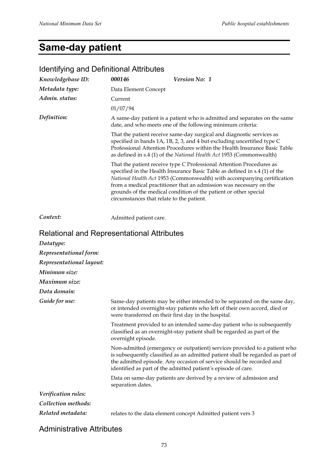# **Same-day patient**

### *Knowledgebase ID: 000146 Version No: 1 Metadata type:* Data Element Concept *Admin. status:* Current 01/07/94 *Definition:* A same-day patient is a patient who is admitted and separates on the same date, and who meets one of the following minimum criteria: That the patient receive same-day surgical and diagnostic services as specified in bands 1A, 1B, 2, 3, and 4 but excluding uncertified type C Professional Attention Procedures within the Health Insurance Basic Table as defined in s.4 (1) of the *National Health Act* 1953 (Commonwealth) That the patient receive type C Professional Attention Procedures as specified in the Health Insurance Basic Table as defined in s.4 (1) of the *National Health Act* 1953 (Commonwealth) with accompanying certification from a medical practitioner that an admission was necessary on the grounds of the medical condition of the patient or other special circumstances that relate to the patient. **Context:** Admitted patient care. Relational and Representational Attributes *Datatype: Representational form: Representational layout: Minimum size: Maximum size: Data domain: Guide for use:* Same-day patients may be either intended to be separated on the same day, or intended overnight-stay patients who left of their own accord, died or were transferred on their first day in the hospital. Treatment provided to an intended same-day patient who is subsequently classified as an overnight-stay patient shall be regarded as part of the overnight episode. Non-admitted (emergency or outpatient) services provided to a patient who is subsequently classified as an admitted patient shall be regarded as part of the admitted episode. Any occasion of service should be recorded and identified as part of the admitted patient*'*s episode of care. Data on same-day patients are derived by a review of admission and separation dates. *Verification rules: Collection methods: Related metadata:* relates to the data element concept Admitted patient vers 3

#### Identifying and Definitional Attributes

Administrative Attributes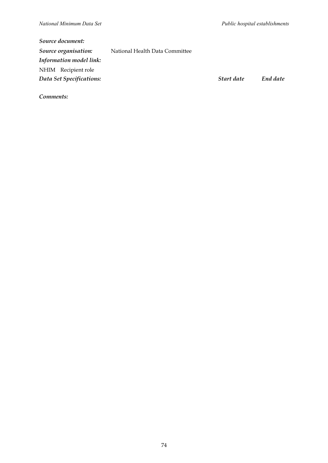| Source document:               |                                |            |          |
|--------------------------------|--------------------------------|------------|----------|
| Source organisation:           | National Health Data Committee |            |          |
| <b>Information model link:</b> |                                |            |          |
| NHIM Recipient role            |                                |            |          |
| Data Set Specifications:       |                                | Start date | End date |
|                                |                                |            |          |

*Comments:*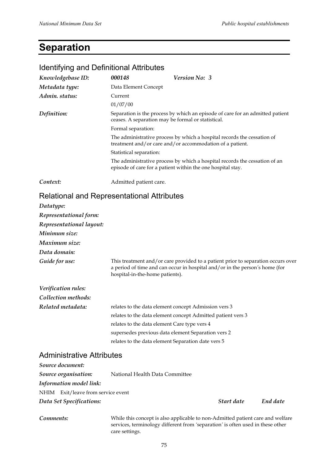Identifying and Definitional Attributes

# **Separation**

| <b>Reciterying and Dominaonal Attributed</b>      |                                                                                                                                     |                                                                                                                                                                 |
|---------------------------------------------------|-------------------------------------------------------------------------------------------------------------------------------------|-----------------------------------------------------------------------------------------------------------------------------------------------------------------|
| Knowledgebase ID:                                 | 000148                                                                                                                              | Version No: 3                                                                                                                                                   |
| Metadata type:                                    | Data Element Concept                                                                                                                |                                                                                                                                                                 |
| Admin. status:                                    | Current                                                                                                                             |                                                                                                                                                                 |
|                                                   | 01/07/00                                                                                                                            |                                                                                                                                                                 |
| Definition:                                       |                                                                                                                                     | Separation is the process by which an episode of care for an admitted patient<br>ceases. A separation may be formal or statistical.                             |
|                                                   | Formal separation:                                                                                                                  |                                                                                                                                                                 |
|                                                   | The administrative process by which a hospital records the cessation of<br>treatment and/or care and/or accommodation of a patient. |                                                                                                                                                                 |
|                                                   | Statistical separation:                                                                                                             |                                                                                                                                                                 |
|                                                   |                                                                                                                                     | The administrative process by which a hospital records the cessation of an<br>episode of care for a patient within the one hospital stay.                       |
| Context:                                          | Admitted patient care.                                                                                                              |                                                                                                                                                                 |
| <b>Relational and Representational Attributes</b> |                                                                                                                                     |                                                                                                                                                                 |
| Datatype:                                         |                                                                                                                                     |                                                                                                                                                                 |
| Representational form:                            |                                                                                                                                     |                                                                                                                                                                 |
| Representational layout:                          |                                                                                                                                     |                                                                                                                                                                 |
| Minimum size:                                     |                                                                                                                                     |                                                                                                                                                                 |
| Maximum size:                                     |                                                                                                                                     |                                                                                                                                                                 |
| Data domain:                                      |                                                                                                                                     |                                                                                                                                                                 |
| Guide for use:                                    | hospital-in-the-home patients).                                                                                                     | This treatment and/or care provided to a patient prior to separation occurs over<br>a period of time and can occur in hospital and/or in the person's home (for |
| Verification rules:                               |                                                                                                                                     |                                                                                                                                                                 |
| Collection methods:                               |                                                                                                                                     |                                                                                                                                                                 |
| Related metadata:                                 |                                                                                                                                     | relates to the data element concept Admission vers 3                                                                                                            |

|                                  | supersedes previous data element Separation vers 2 |
|----------------------------------|----------------------------------------------------|
|                                  | relates to the data element Separation date vers 5 |
| <b>Administrative Attributes</b> |                                                    |

| Source document:                   |                                |            |          |  |
|------------------------------------|--------------------------------|------------|----------|--|
| Source organisation:               | National Health Data Committee |            |          |  |
| Information model link:            |                                |            |          |  |
| NHIM Exit/leave from service event |                                |            |          |  |
| Data Set Specifications:           |                                | Start date | End date |  |

relates to the data element Care type vers 4

relates to the data element concept Admitted patient vers 3

*Comments:* While this concept is also applicable to non-Admitted patient care and welfare services, terminology different from *'*separation*'* is often used in these other care settings.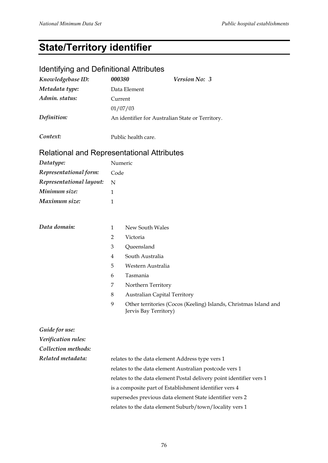# **State/Territory identifier**

## Identifying and Definitional Attributes

| Knowledgebase ID:                                 | 000380                                                              | Version No: 3                                                                             |  |
|---------------------------------------------------|---------------------------------------------------------------------|-------------------------------------------------------------------------------------------|--|
| Metadata type:                                    |                                                                     | Data Element                                                                              |  |
| Admin. status:                                    |                                                                     | Current                                                                                   |  |
|                                                   |                                                                     | 01/07/03                                                                                  |  |
| Definition:                                       |                                                                     | An identifier for Australian State or Territory.                                          |  |
| Context:                                          |                                                                     | Public health care.                                                                       |  |
| <b>Relational and Representational Attributes</b> |                                                                     |                                                                                           |  |
| Datatype:                                         |                                                                     | Numeric                                                                                   |  |
| Representational form:                            | Code                                                                |                                                                                           |  |
| Representational layout:                          | N                                                                   |                                                                                           |  |
| Minimum size:                                     | 1                                                                   |                                                                                           |  |
| Maximum size:                                     | 1                                                                   |                                                                                           |  |
|                                                   |                                                                     |                                                                                           |  |
| Data domain:                                      | 1                                                                   | New South Wales                                                                           |  |
|                                                   | $\overline{2}$                                                      | Victoria                                                                                  |  |
|                                                   | 3                                                                   | Queensland                                                                                |  |
|                                                   | 4                                                                   | South Australia                                                                           |  |
|                                                   | 5                                                                   | Western Australia                                                                         |  |
|                                                   | 6                                                                   | Tasmania                                                                                  |  |
|                                                   | 7                                                                   | Northern Territory                                                                        |  |
|                                                   | 8                                                                   | <b>Australian Capital Territory</b>                                                       |  |
|                                                   | 9                                                                   | Other territories (Cocos (Keeling) Islands, Christmas Island and<br>Jervis Bay Territory) |  |
| Guide for use:                                    |                                                                     |                                                                                           |  |
| Verification rules:                               |                                                                     |                                                                                           |  |
| Collection methods:                               |                                                                     |                                                                                           |  |
| Related metadata:                                 | relates to the data element Address type vers 1                     |                                                                                           |  |
|                                                   |                                                                     | relates to the data element Australian postcode vers 1                                    |  |
|                                                   | relates to the data element Postal delivery point identifier vers 1 |                                                                                           |  |
|                                                   |                                                                     | is a composite part of Establishment identifier vers 4                                    |  |
|                                                   | supersedes previous data element State identifier vers 2            |                                                                                           |  |
|                                                   | relates to the data element Suburb/town/locality vers 1             |                                                                                           |  |